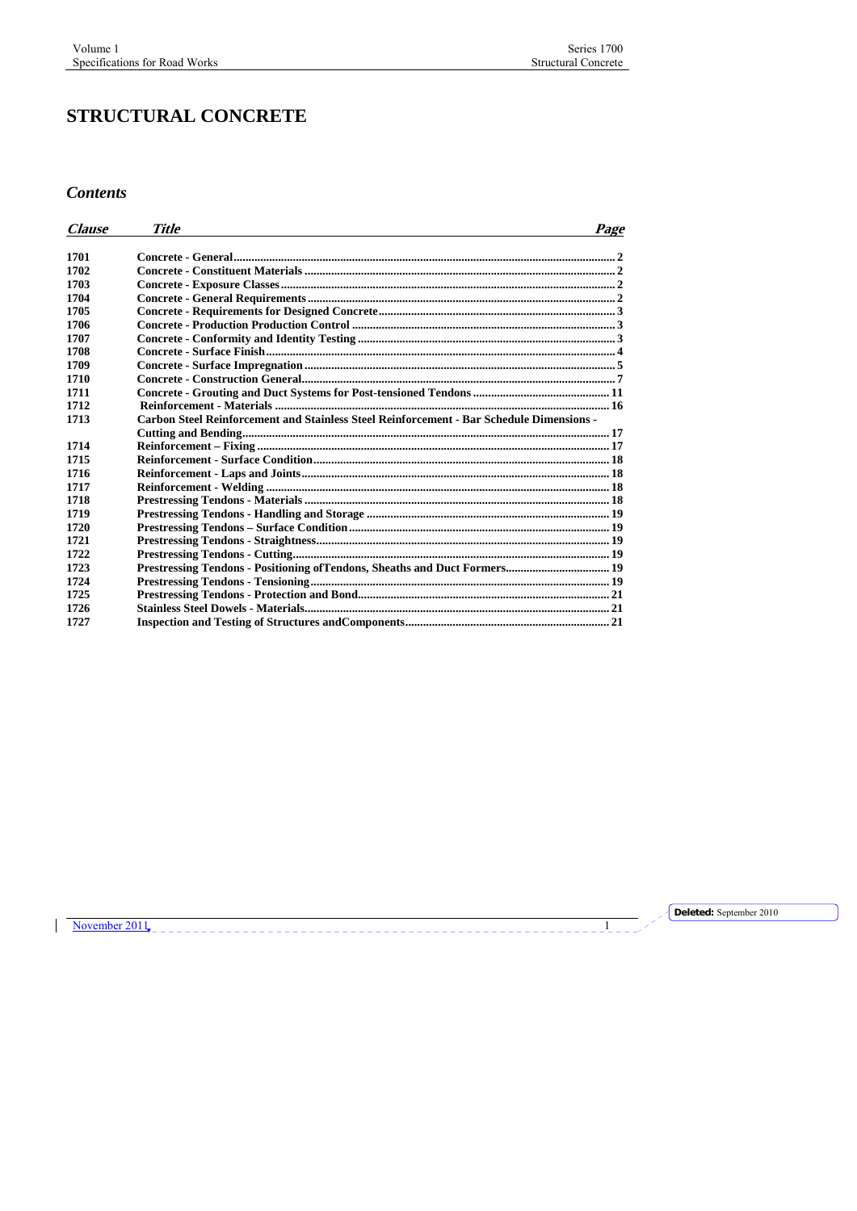# **STRUCTURAL CONCRETE**

*Contents* 

| <i><b>Clause</b></i> | <b>Title</b>                                                                             | Page |
|----------------------|------------------------------------------------------------------------------------------|------|
|                      |                                                                                          |      |
| 1701                 |                                                                                          |      |
| 1702                 |                                                                                          |      |
| 1703                 |                                                                                          |      |
| 1704                 |                                                                                          |      |
| 1705                 |                                                                                          |      |
| 1706                 |                                                                                          |      |
| 1707                 |                                                                                          |      |
| 1708                 |                                                                                          |      |
| 1709                 |                                                                                          |      |
| 1710                 |                                                                                          |      |
| 1711                 |                                                                                          |      |
| 1712                 |                                                                                          |      |
| 1713                 | Carbon Steel Reinforcement and Stainless Steel Reinforcement - Bar Schedule Dimensions - |      |
|                      |                                                                                          |      |
| 1714                 |                                                                                          |      |
| 1715                 |                                                                                          |      |
| 1716                 |                                                                                          |      |
| 1717                 |                                                                                          |      |
| 1718                 |                                                                                          |      |
| 1719                 |                                                                                          |      |
| 1720                 |                                                                                          |      |
| 1721                 |                                                                                          |      |
| 1722                 |                                                                                          |      |
| 1723                 | Prestressing Tendons - Positioning of Tendons, Sheaths and Duct Formers 19               |      |
| 1724                 |                                                                                          |      |
| 1725                 |                                                                                          |      |
| 1726                 |                                                                                          |      |
| 1727                 |                                                                                          |      |

November 2011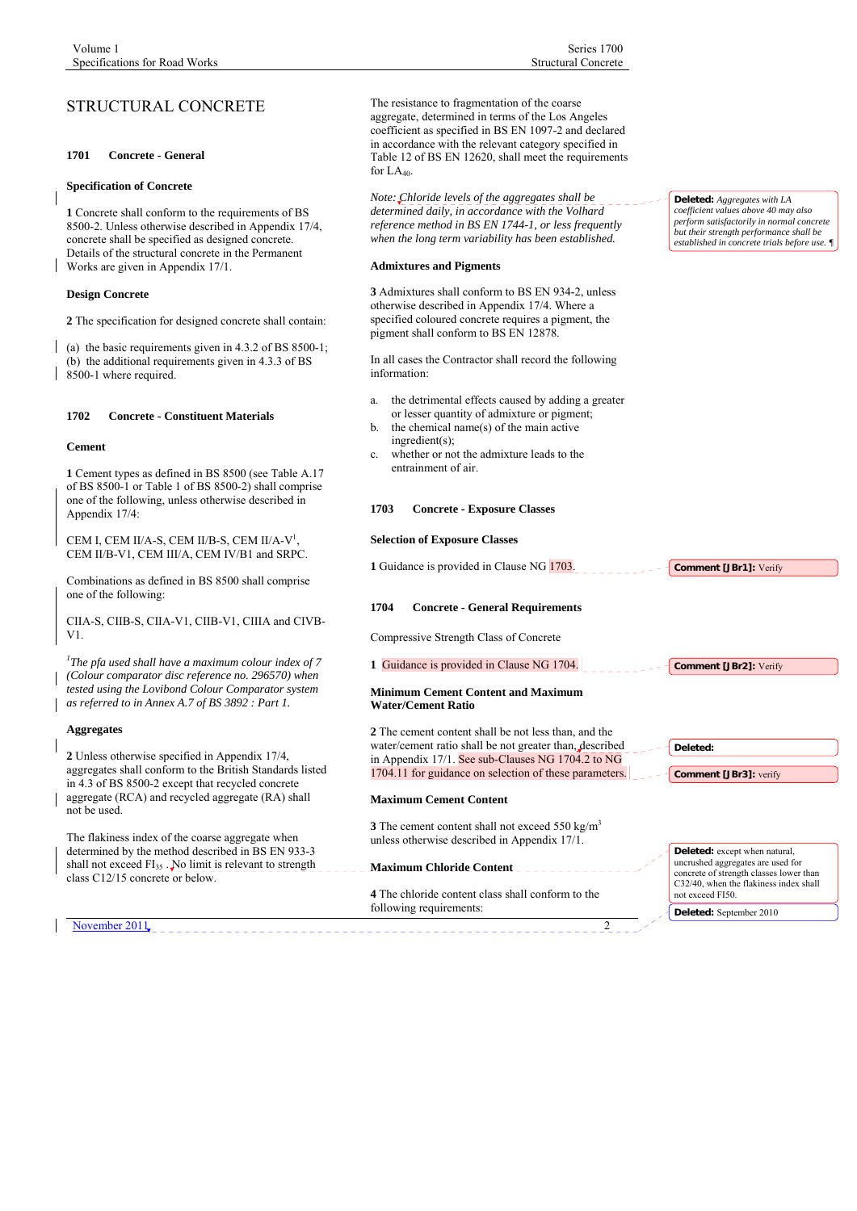# <span id="page-1-0"></span>STRUCTURAL CONCRETE

# **1701 Concrete - General**

#### **Specification of Concrete**

**1** Concrete shall conform to the requirements of BS 8500-2. Unless otherwise described in Appendix 17/4, concrete shall be specified as designed concrete. Details of the structural concrete in the Permanent Works are given in Appendix 17/1.

# **Design Concrete**

**2** The specification for designed concrete shall contain:

(a) the basic requirements given in 4.3.2 of BS 8500-1; (b) the additional requirements given in 4.3.3 of BS 8500-1 where required.

# **1702 Concrete - Constituent Materials**

#### **Cement**

**1** Cement types as defined in BS 8500 (see Table A.17 of BS 8500-1 or Table 1 of BS 8500-2) shall comprise one of the following, unless otherwise described in Appendix 17/4:

CEM I, CEM II/A-S, CEM II/B-S, CEM II/A-V<sup>1</sup>, CEM II/B-V1, CEM III/A, CEM IV/B1 and SRPC.

Combinations as defined in BS 8500 shall comprise one of the following:

CIIA-S, CIIB-S, CIIA-V1, CIIB-V1, CIIIA and CIVB-V1.

*1 The pfa used shall have a maximum colour index of 7 (Colour comparator disc reference no. 296570) when tested using the Lovibond Colour Comparator system as referred to in Annex A.7 of BS 3892 : Part 1.* 

## **Aggregates**

**2** Unless otherwise specified in Appendix 17/4, aggregates shall conform to the British Standards listed in 4.3 of BS 8500-2 except that recycled concrete aggregate (RCA) and recycled aggregate (RA) shall not be used.

The flakiness index of the coarse aggregate when determined by the method described in BS EN 933-3 shall not exceed FI<sub>35</sub> . No limit is relevant to strength class C12/15 concrete or below.

November 2011

The resistance to fragmentation of the coarse aggregate, determined in terms of the Los Angeles coefficient as specified in BS EN 1097-2 and declared in accordance with the relevant category specified in Table 12 of BS EN 12620, shall meet the requirements for  $LA<sub>40</sub>$ .

*Note: Chloride levels of the aggregates shall be determined daily, in accordance with the Volhard reference method in BS EN 1744-1, or less frequently when the long term variability has been established.* 

#### **Admixtures and Pigments**

**3** Admixtures shall conform to BS EN 934-2, unless otherwise described in Appendix 17/4. Where a specified coloured concrete requires a pigment, the pigment shall conform to BS EN 12878.

In all cases the Contractor shall record the following information:

- a. the detrimental effects caused by adding a greater or lesser quantity of admixture or pigment;
- the chemical name(s) of the main active ingredient(s);
- c. whether or not the admixture leads to the entrainment of air.

# **1703 Concrete - Exposure Classes**

# **Selection of Exposure Classes**

**1** Guidance is provided in Clause NG 1703.

# **1704 Concrete - General Requirements**

Compressive Strength Class of Concrete

### **1** Guidance is provided in Clause NG 1704.

# **Minimum Cement Content and Maximum Water/Cement Ratio**

**2** The cement content shall be not less than, and the water/cement ratio shall be not greater than, described in Appendix 17/1. See sub-Clauses NG 1704.2 to NG 1704.11 for guidance on selection of these parameters.

#### **Maximum Cement Content**

**3** The cement content shall not exceed 550 kg/m<sup>3</sup> unless otherwise described in Appendix 17/1.

#### **Maximum Chloride Content**

**4** The chloride content class shall conform to the following requirements:

**Deleted:** *Aggregates with LA coefficient values above 40 may also perform satisfactorily in normal concrete but their strength performance shall be established in concrete trials before use. ¶*

**Deleted:** except when natural, uncrushed aggregates are used for concrete of strength classes lower than C32/40, when the flakiness index shall not exceed FI50. **Deleted:** September 2010

**Comment [JBr1]:** Verify

**Comment [JBr2]:** Verify

**Comment [JBr3]:** verify

**Deleted:**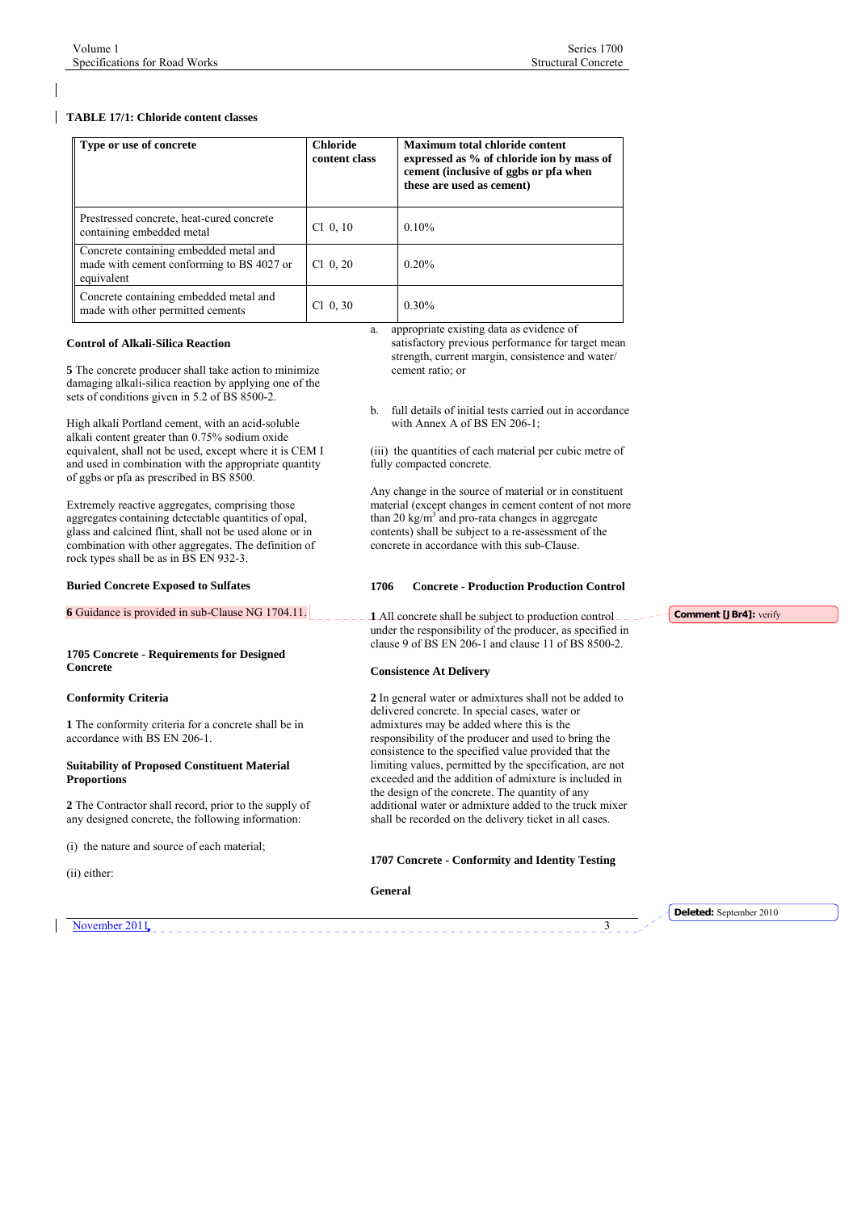# <span id="page-2-0"></span>**TABLE 17/1: Chloride content classes**

| Type or use of concrete                                                                           | <b>Chloride</b><br>content class | <b>Maximum total chloride content</b><br>expressed as % of chloride ion by mass of<br>cement (inclusive of ggbs or pfa when<br>these are used as cement) |
|---------------------------------------------------------------------------------------------------|----------------------------------|----------------------------------------------------------------------------------------------------------------------------------------------------------|
| Prestressed concrete, heat-cured concrete<br>containing embedded metal                            | $Cl$ 0, 10                       | $0.10\%$                                                                                                                                                 |
| Concrete containing embedded metal and<br>made with cement conforming to BS 4027 or<br>equivalent | $Cl$ 0, 20                       | $0.20\%$                                                                                                                                                 |
| Concrete containing embedded metal and<br>made with other permitted cements                       | $Cl$ 0, 30                       | $0.30\%$                                                                                                                                                 |

#### **Control of Alkali-Silica Reaction**

**5** The concrete producer shall take action to minimize damaging alkali-silica reaction by applying one of the sets of conditions given in 5.2 of BS 8500-2.

High alkali Portland cement, with an acid-soluble alkali content greater than 0.75% sodium oxide equivalent, shall not be used, except where it is CEM I and used in combination with the appropriate quantity of ggbs or pfa as prescribed in BS 8500.

Extremely reactive aggregates, comprising those aggregates containing detectable quantities of opal, glass and calcined flint, shall not be used alone or in combination with other aggregates. The definition of rock types shall be as in BS EN 932-3.

#### **Buried Concrete Exposed to Sulfates**

#### **6** Guidance is provided in sub-Clause NG 1704.11.

#### **1705 Concrete - Requirements for Designed Concrete**

#### **Conformity Criteria**

**1** The conformity criteria for a concrete shall be in accordance with BS EN 206-1.

#### **Suitability of Proposed Constituent Material Proportions**

**2** The Contractor shall record, prior to the supply of any designed concrete, the following information:

(i) the nature and source of each material;

(ii) either:

a. appropriate existing data as evidence of satisfactory previous performance for target mean strength, current margin, consistence and water/ cement ratio; or

b. full details of initial tests carried out in accordance with Annex A of BS EN 206-1;

(iii) the quantities of each material per cubic metre of fully compacted concrete.

Any change in the source of material or in constituent material (except changes in cement content of not more than 20 kg/ $m<sup>3</sup>$  and pro-rata changes in aggregate contents) shall be subject to a re-assessment of the concrete in accordance with this sub-Clause.

#### **1706 Concrete - Production Production Control**

**1** All concrete shall be subject to production control under the responsibility of the producer, as specified in clause 9 of BS EN 206-1 and clause 11 of BS 8500-2.

#### **Consistence At Delivery**

**2** In general water or admixtures shall not be added to delivered concrete. In special cases, water or admixtures may be added where this is the responsibility of the producer and used to bring the consistence to the specified value provided that the limiting values, permitted by the specification, are not exceeded and the addition of admixture is included in the design of the concrete. The quantity of any additional water or admixture added to the truck mixer shall be recorded on the delivery ticket in all cases.

# **1707 Concrete - Conformity and Identity Testing**

**Deleted:** September 2010

**Comment [JBr4]:** verify

November 2011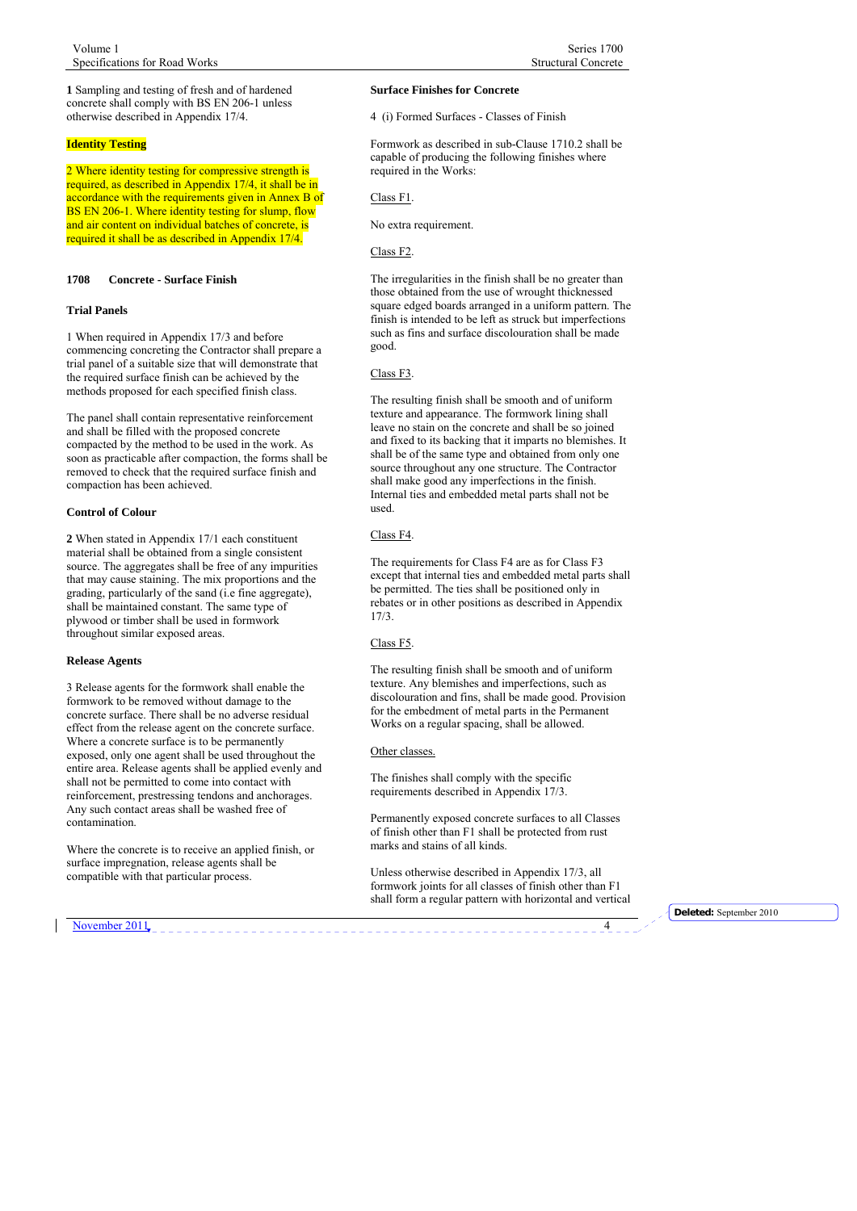<span id="page-3-0"></span>**1** Sampling and testing of fresh and of hardened concrete shall comply with BS EN 206-1 unless otherwise described in Appendix 17/4.

# **Identity Testing**

2 Where identity testing for compressive strength is required, as described in Appendix 17/4, it shall be in accordance with the requirements given in Annex B of BS EN 206-1. Where identity testing for slump, flow and air content on individual batches of concrete, is required it shall be as described in Appendix 17/4.

# **1708 Concrete - Surface Finish**

#### **Trial Panels**

1 When required in Appendix 17/3 and before commencing concreting the Contractor shall prepare a trial panel of a suitable size that will demonstrate that the required surface finish can be achieved by the methods proposed for each specified finish class.

The panel shall contain representative reinforcement and shall be filled with the proposed concrete compacted by the method to be used in the work. As soon as practicable after compaction, the forms shall be removed to check that the required surface finish and compaction has been achieved.

#### **Control of Colour**

**2** When stated in Appendix 17/1 each constituent material shall be obtained from a single consistent source. The aggregates shall be free of any impurities that may cause staining. The mix proportions and the grading, particularly of the sand (i.e fine aggregate), shall be maintained constant. The same type of plywood or timber shall be used in formwork throughout similar exposed areas.

#### **Release Agents**

3 Release agents for the formwork shall enable the formwork to be removed without damage to the concrete surface. There shall be no adverse residual effect from the release agent on the concrete surface. Where a concrete surface is to be permanently exposed, only one agent shall be used throughout the entire area. Release agents shall be applied evenly and shall not be permitted to come into contact with reinforcement, prestressing tendons and anchorages. Any such contact areas shall be washed free of contamination.

Where the concrete is to receive an applied finish, or surface impregnation, release agents shall be compatible with that particular process.

November 2011

# **Surface Finishes for Concrete**

4 (i) Formed Surfaces - Classes of Finish

Formwork as described in sub-Clause 1710.2 shall be capable of producing the following finishes where required in the Works:

Class F1.

No extra requirement.

Class F2.

The irregularities in the finish shall be no greater than those obtained from the use of wrought thicknessed square edged boards arranged in a uniform pattern. The finish is intended to be left as struck but imperfections such as fins and surface discolouration shall be made good.

#### Class F3.

The resulting finish shall be smooth and of uniform texture and appearance. The formwork lining shall leave no stain on the concrete and shall be so joined and fixed to its backing that it imparts no blemishes. It shall be of the same type and obtained from only one source throughout any one structure. The Contractor shall make good any imperfections in the finish. Internal ties and embedded metal parts shall not be used.

Class F4.

The requirements for Class F4 are as for Class F3 except that internal ties and embedded metal parts shall be permitted. The ties shall be positioned only in rebates or in other positions as described in Appendix 17/3.

Class F5.

The resulting finish shall be smooth and of uniform texture. Any blemishes and imperfections, such as discolouration and fins, shall be made good. Provision for the embedment of metal parts in the Permanent Works on a regular spacing, shall be allowed.

# Other classes.

The finishes shall comply with the specific requirements described in Appendix 17/3.

Permanently exposed concrete surfaces to all Classes of finish other than F1 shall be protected from rust marks and stains of all kinds.

Unless otherwise described in Appendix 17/3, all formwork joints for all classes of finish other than F1 shall form a regular pattern with horizontal and vertical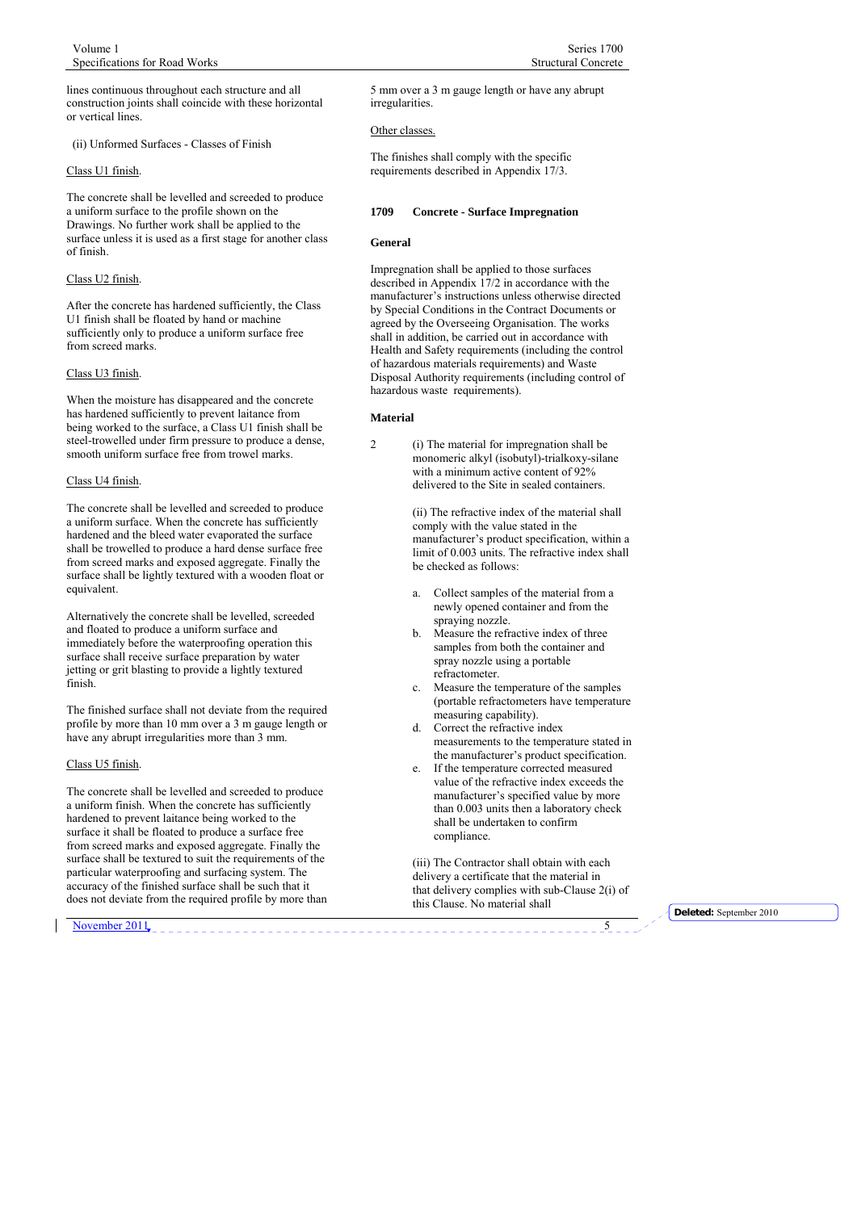<span id="page-4-0"></span>lines continuous throughout each structure and all construction joints shall coincide with these horizontal or vertical lines.

(ii) Unformed Surfaces - Classes of Finish

#### Class U1 finish.

The concrete shall be levelled and screeded to produce a uniform surface to the profile shown on the Drawings. No further work shall be applied to the surface unless it is used as a first stage for another class of finish.

# Class U2 finish.

After the concrete has hardened sufficiently, the Class U1 finish shall be floated by hand or machine sufficiently only to produce a uniform surface free from screed marks.

# Class U3 finish.

When the moisture has disappeared and the concrete has hardened sufficiently to prevent laitance from being worked to the surface, a Class U1 finish shall be steel-trowelled under firm pressure to produce a dense, smooth uniform surface free from trowel marks.

#### Class U4 finish.

The concrete shall be levelled and screeded to produce a uniform surface. When the concrete has sufficiently hardened and the bleed water evaporated the surface shall be trowelled to produce a hard dense surface free from screed marks and exposed aggregate. Finally the surface shall be lightly textured with a wooden float or equivalent.

Alternatively the concrete shall be levelled, screeded and floated to produce a uniform surface and immediately before the waterproofing operation this surface shall receive surface preparation by water jetting or grit blasting to provide a lightly textured finish.

The finished surface shall not deviate from the required profile by more than 10 mm over a 3 m gauge length or have any abrupt irregularities more than 3 mm.

# Class U5 finish.

The concrete shall be levelled and screeded to produce a uniform finish. When the concrete has sufficiently hardened to prevent laitance being worked to the surface it shall be floated to produce a surface free from screed marks and exposed aggregate. Finally the surface shall be textured to suit the requirements of the particular waterproofing and surfacing system. The accuracy of the finished surface shall be such that it does not deviate from the required profile by more than

5 mm over a 3 m gauge length or have any abrupt irregularities.

#### Other classes.

The finishes shall comply with the specific requirements described in Appendix 17/3.

#### **1709 Concrete - Surface Impregnation**

#### **General**

Impregnation shall be applied to those surfaces described in Appendix 17/2 in accordance with the manufacturer's instructions unless otherwise directed by Special Conditions in the Contract Documents or agreed by the Overseeing Organisation. The works shall in addition, be carried out in accordance with Health and Safety requirements (including the control of hazardous materials requirements) and Waste Disposal Authority requirements (including control of hazardous waste requirements).

#### **Material**

2 (i) The material for impregnation shall be monomeric alkyl (isobutyl)-trialkoxy-silane with a minimum active content of 92% delivered to the Site in sealed containers.

> (ii) The refractive index of the material shall comply with the value stated in the manufacturer's product specification, within a limit of 0.003 units. The refractive index shall be checked as follows:

- a. Collect samples of the material from a newly opened container and from the spraying nozzle.
- Measure the refractive index of three samples from both the container and spray nozzle using a portable refractometer.
- c. Measure the temperature of the samples (portable refractometers have temperature measuring capability).
- d. Correct the refractive index measurements to the temperature stated in the manufacturer's product specification.
- e. If the temperature corrected measured value of the refractive index exceeds the manufacturer's specified value by more than 0.003 units then a laboratory check shall be undertaken to confirm compliance.

 (iii) The Contractor shall obtain with each delivery a certificate that the material in that delivery complies with sub-Clause 2(i) of this Clause. No material shall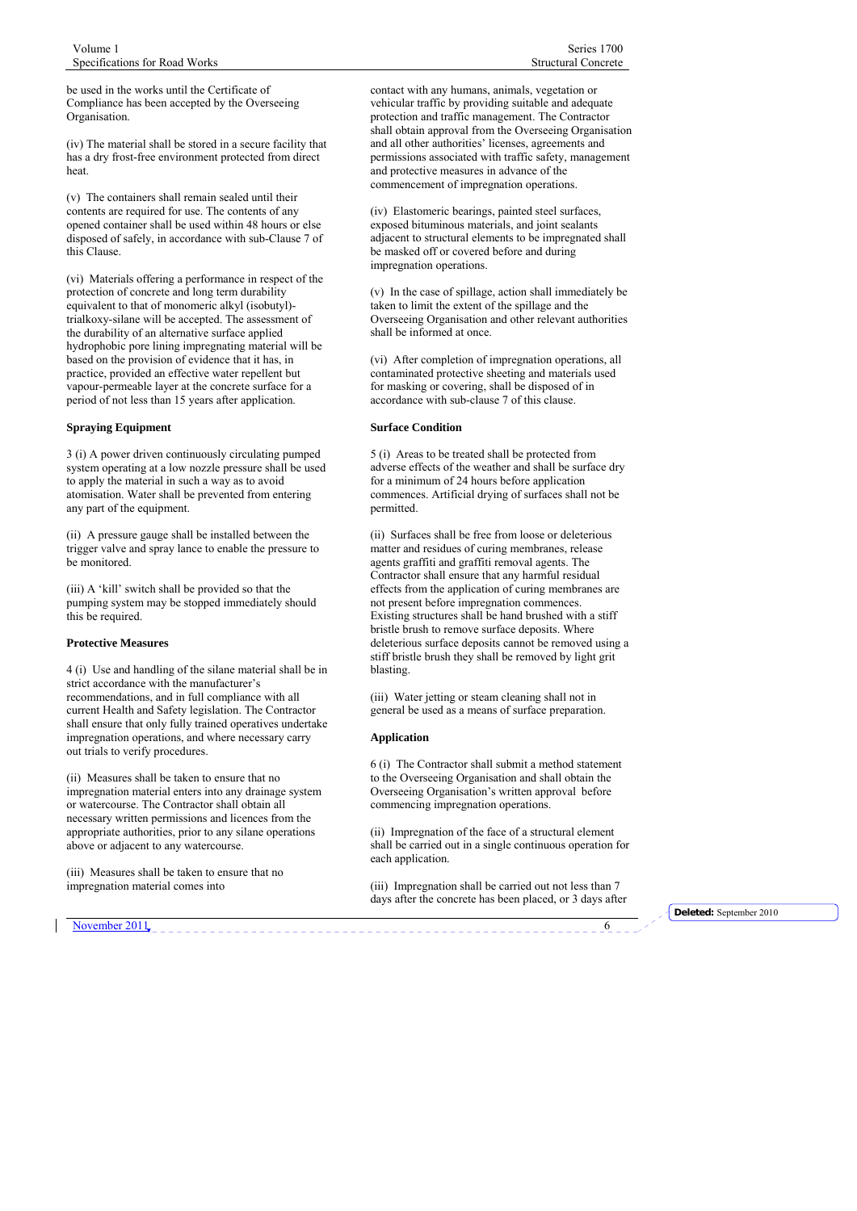be used in the works until the Certificate of Compliance has been accepted by the Overseeing Organisation.

(iv) The material shall be stored in a secure facility that has a dry frost-free environment protected from direct heat.

(v) The containers shall remain sealed until their contents are required for use. The contents of any opened container shall be used within 48 hours or else disposed of safely, in accordance with sub-Clause 7 of this Clause.

(vi) Materials offering a performance in respect of the protection of concrete and long term durability equivalent to that of monomeric alkyl (isobutyl) trialkoxy-silane will be accepted. The assessment of the durability of an alternative surface applied hydrophobic pore lining impregnating material will be based on the provision of evidence that it has, in practice, provided an effective water repellent but vapour-permeable layer at the concrete surface for a period of not less than 15 years after application.

#### **Spraying Equipment**

3 (i) A power driven continuously circulating pumped system operating at a low nozzle pressure shall be used to apply the material in such a way as to avoid atomisation. Water shall be prevented from entering any part of the equipment.

(ii) A pressure gauge shall be installed between the trigger valve and spray lance to enable the pressure to be monitored.

(iii) A 'kill' switch shall be provided so that the pumping system may be stopped immediately should this be required.

#### **Protective Measures**

4 (i) Use and handling of the silane material shall be in strict accordance with the manufacturer's recommendations, and in full compliance with all current Health and Safety legislation. The Contractor shall ensure that only fully trained operatives undertake impregnation operations, and where necessary carry out trials to verify procedures.

(ii) Measures shall be taken to ensure that no impregnation material enters into any drainage system or watercourse. The Contractor shall obtain all necessary written permissions and licences from the appropriate authorities, prior to any silane operations above or adjacent to any watercourse.

(iii) Measures shall be taken to ensure that no impregnation material comes into

contact with any humans, animals, vegetation or vehicular traffic by providing suitable and adequate protection and traffic management. The Contractor shall obtain approval from the Overseeing Organisation and all other authorities' licenses, agreements and permissions associated with traffic safety, management and protective measures in advance of the commencement of impregnation operations.

(iv) Elastomeric bearings, painted steel surfaces, exposed bituminous materials, and joint sealants adjacent to structural elements to be impregnated shall be masked off or covered before and during impregnation operations.

(v) In the case of spillage, action shall immediately be taken to limit the extent of the spillage and the Overseeing Organisation and other relevant authorities shall be informed at once.

(vi) After completion of impregnation operations, all contaminated protective sheeting and materials used for masking or covering, shall be disposed of in accordance with sub-clause 7 of this clause.

#### **Surface Condition**

5 (i) Areas to be treated shall be protected from adverse effects of the weather and shall be surface dry for a minimum of 24 hours before application commences. Artificial drying of surfaces shall not be permitted.

(ii) Surfaces shall be free from loose or deleterious matter and residues of curing membranes, release agents graffiti and graffiti removal agents. The Contractor shall ensure that any harmful residual effects from the application of curing membranes are not present before impregnation commences. Existing structures shall be hand brushed with a stiff bristle brush to remove surface deposits. Where deleterious surface deposits cannot be removed using a stiff bristle brush they shall be removed by light grit blasting.

(iii) Water jetting or steam cleaning shall not in general be used as a means of surface preparation.

#### **Application**

6 (i) The Contractor shall submit a method statement to the Overseeing Organisation and shall obtain the Overseeing Organisation's written approval before commencing impregnation operations.

(ii) Impregnation of the face of a structural element shall be carried out in a single continuous operation for each application.

(iii) Impregnation shall be carried out not less than 7 days after the concrete has been placed, or 3 days after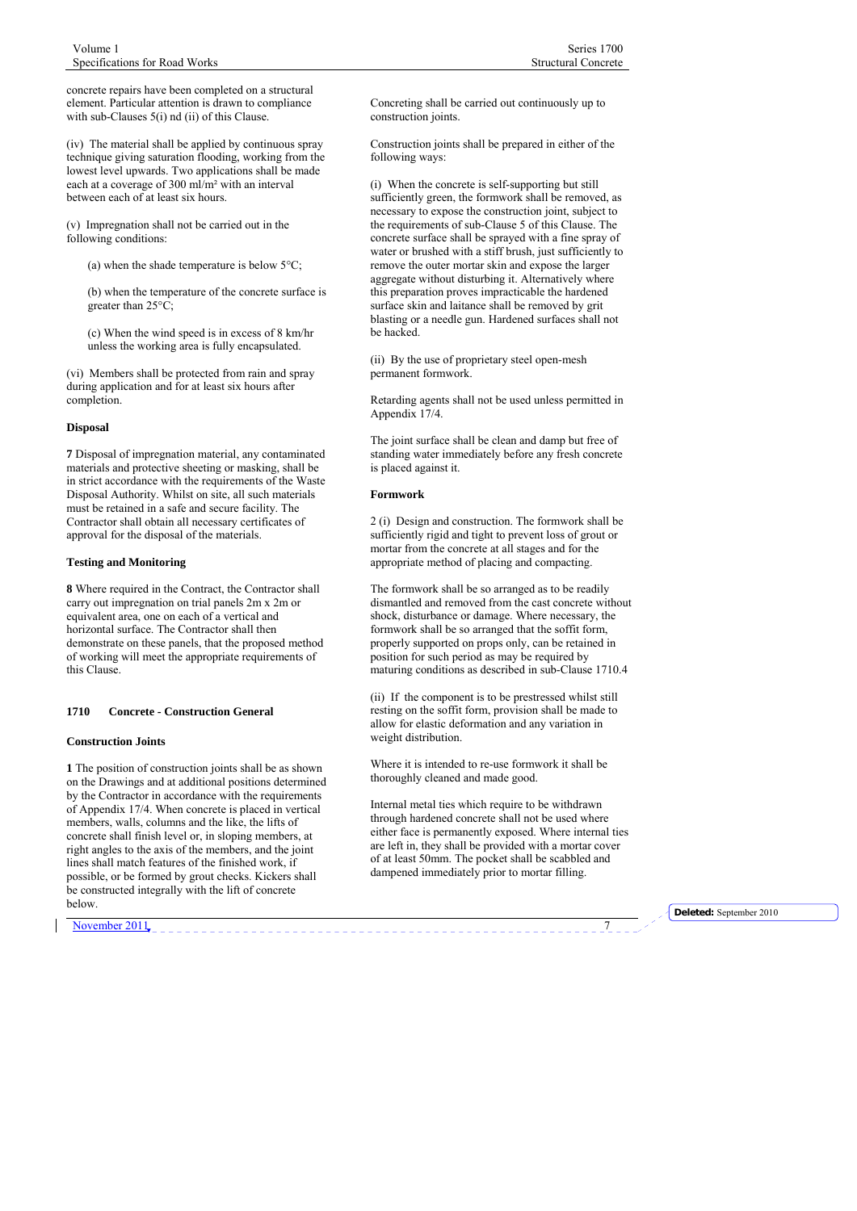<span id="page-6-0"></span>concrete repairs have been completed on a structural element. Particular attention is drawn to compliance with sub-Clauses 5(i) nd (ii) of this Clause.

(iv) The material shall be applied by continuous spray technique giving saturation flooding, working from the lowest level upwards. Two applications shall be made each at a coverage of 300 ml/m² with an interval between each of at least six hours.

(v) Impregnation shall not be carried out in the following conditions:

(a) when the shade temperature is below 5°C;

(b) when the temperature of the concrete surface is greater than 25°C;

(c) When the wind speed is in excess of 8 km/hr unless the working area is fully encapsulated.

(vi) Members shall be protected from rain and spray during application and for at least six hours after completion.

#### **Disposal**

**7** Disposal of impregnation material, any contaminated materials and protective sheeting or masking, shall be in strict accordance with the requirements of the Waste Disposal Authority. Whilst on site, all such materials must be retained in a safe and secure facility. The Contractor shall obtain all necessary certificates of approval for the disposal of the materials.

# **Testing and Monitoring**

**8** Where required in the Contract, the Contractor shall carry out impregnation on trial panels 2m x 2m or equivalent area, one on each of a vertical and horizontal surface. The Contractor shall then demonstrate on these panels, that the proposed method of working will meet the appropriate requirements of this Clause.

#### **1710 Concrete - Construction General**

#### **Construction Joints**

**1** The position of construction joints shall be as shown on the Drawings and at additional positions determined by the Contractor in accordance with the requirements of Appendix 17/4. When concrete is placed in vertical members, walls, columns and the like, the lifts of concrete shall finish level or, in sloping members, at right angles to the axis of the members, and the joint lines shall match features of the finished work, if possible, or be formed by grout checks. Kickers shall be constructed integrally with the lift of concrete below.

Concreting shall be carried out continuously up to construction joints.

Construction joints shall be prepared in either of the following ways:

(i) When the concrete is self-supporting but still sufficiently green, the formwork shall be removed, as necessary to expose the construction joint, subject to the requirements of sub-Clause 5 of this Clause. The concrete surface shall be sprayed with a fine spray of water or brushed with a stiff brush, just sufficiently to remove the outer mortar skin and expose the larger aggregate without disturbing it. Alternatively where this preparation proves impracticable the hardened surface skin and laitance shall be removed by grit blasting or a needle gun. Hardened surfaces shall not be hacked.

(ii) By the use of proprietary steel open-mesh permanent formwork.

Retarding agents shall not be used unless permitted in Appendix 17/4.

The joint surface shall be clean and damp but free of standing water immediately before any fresh concrete is placed against it.

#### **Formwork**

2 (i) Design and construction. The formwork shall be sufficiently rigid and tight to prevent loss of grout or mortar from the concrete at all stages and for the appropriate method of placing and compacting.

The formwork shall be so arranged as to be readily dismantled and removed from the cast concrete without shock, disturbance or damage. Where necessary, the formwork shall be so arranged that the soffit form, properly supported on props only, can be retained in position for such period as may be required by maturing conditions as described in sub-Clause 1710.4

(ii) If the component is to be prestressed whilst still resting on the soffit form, provision shall be made to allow for elastic deformation and any variation in weight distribution.

Where it is intended to re-use formwork it shall be thoroughly cleaned and made good.

Internal metal ties which require to be withdrawn through hardened concrete shall not be used where either face is permanently exposed. Where internal ties are left in, they shall be provided with a mortar cover of at least 50mm. The pocket shall be scabbled and dampened immediately prior to mortar filling.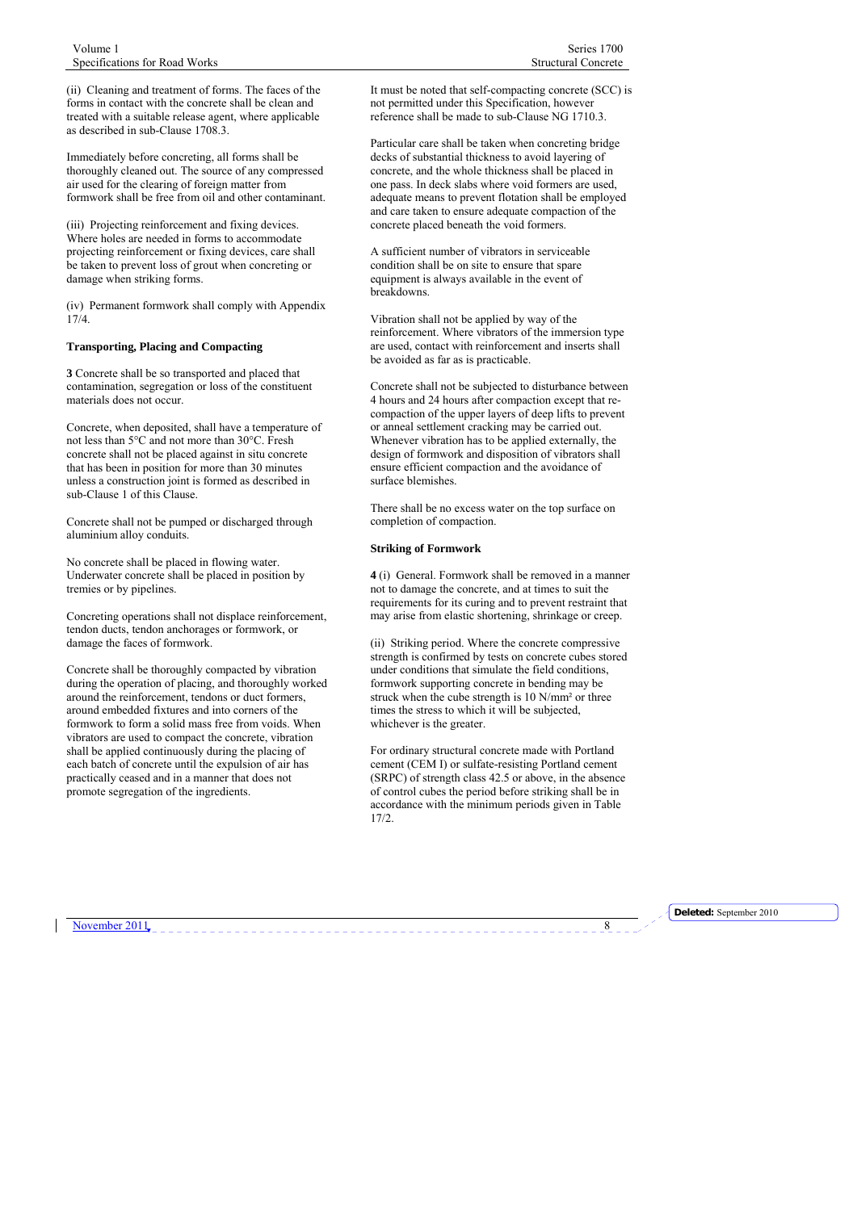(ii) Cleaning and treatment of forms. The faces of the forms in contact with the concrete shall be clean and treated with a suitable release agent, where applicable as described in sub-Clause 1708.3.

Immediately before concreting, all forms shall be thoroughly cleaned out. The source of any compressed air used for the clearing of foreign matter from formwork shall be free from oil and other contaminant.

(iii) Projecting reinforcement and fixing devices. Where holes are needed in forms to accommodate projecting reinforcement or fixing devices, care shall be taken to prevent loss of grout when concreting or damage when striking forms.

(iv) Permanent formwork shall comply with Appendix 17/4.

# **Transporting, Placing and Compacting**

**3** Concrete shall be so transported and placed that contamination, segregation or loss of the constituent materials does not occur.

Concrete, when deposited, shall have a temperature of not less than 5°C and not more than 30°C. Fresh concrete shall not be placed against in situ concrete that has been in position for more than 30 minutes unless a construction joint is formed as described in sub-Clause 1 of this Clause.

Concrete shall not be pumped or discharged through aluminium alloy conduits.

No concrete shall be placed in flowing water. Underwater concrete shall be placed in position by tremies or by pipelines.

Concreting operations shall not displace reinforcement, tendon ducts, tendon anchorages or formwork, or damage the faces of formwork.

Concrete shall be thoroughly compacted by vibration during the operation of placing, and thoroughly worked around the reinforcement, tendons or duct formers, around embedded fixtures and into corners of the formwork to form a solid mass free from voids. When vibrators are used to compact the concrete, vibration shall be applied continuously during the placing of each batch of concrete until the expulsion of air has practically ceased and in a manner that does not promote segregation of the ingredients.

It must be noted that self-compacting concrete (SCC) is not permitted under this Specification, however reference shall be made to sub-Clause NG 1710.3.

Particular care shall be taken when concreting bridge decks of substantial thickness to avoid layering of concrete, and the whole thickness shall be placed in one pass. In deck slabs where void formers are used, adequate means to prevent flotation shall be employed and care taken to ensure adequate compaction of the concrete placed beneath the void formers.

A sufficient number of vibrators in serviceable condition shall be on site to ensure that spare equipment is always available in the event of breakdowns.

Vibration shall not be applied by way of the reinforcement. Where vibrators of the immersion type are used, contact with reinforcement and inserts shall be avoided as far as is practicable.

Concrete shall not be subjected to disturbance between 4 hours and 24 hours after compaction except that recompaction of the upper layers of deep lifts to prevent or anneal settlement cracking may be carried out. Whenever vibration has to be applied externally, the design of formwork and disposition of vibrators shall ensure efficient compaction and the avoidance of surface blemishes.

There shall be no excess water on the top surface on completion of compaction.

# **Striking of Formwork**

**4** (i) General. Formwork shall be removed in a manner not to damage the concrete, and at times to suit the requirements for its curing and to prevent restraint that may arise from elastic shortening, shrinkage or creep.

(ii) Striking period. Where the concrete compressive strength is confirmed by tests on concrete cubes stored under conditions that simulate the field conditions, formwork supporting concrete in bending may be struck when the cube strength is 10 N/mm² or three times the stress to which it will be subjected, whichever is the greater.

For ordinary structural concrete made with Portland cement (CEM I) or sulfate-resisting Portland cement (SRPC) of strength class 42.5 or above, in the absence of control cubes the period before striking shall be in accordance with the minimum periods given in Table 17/2.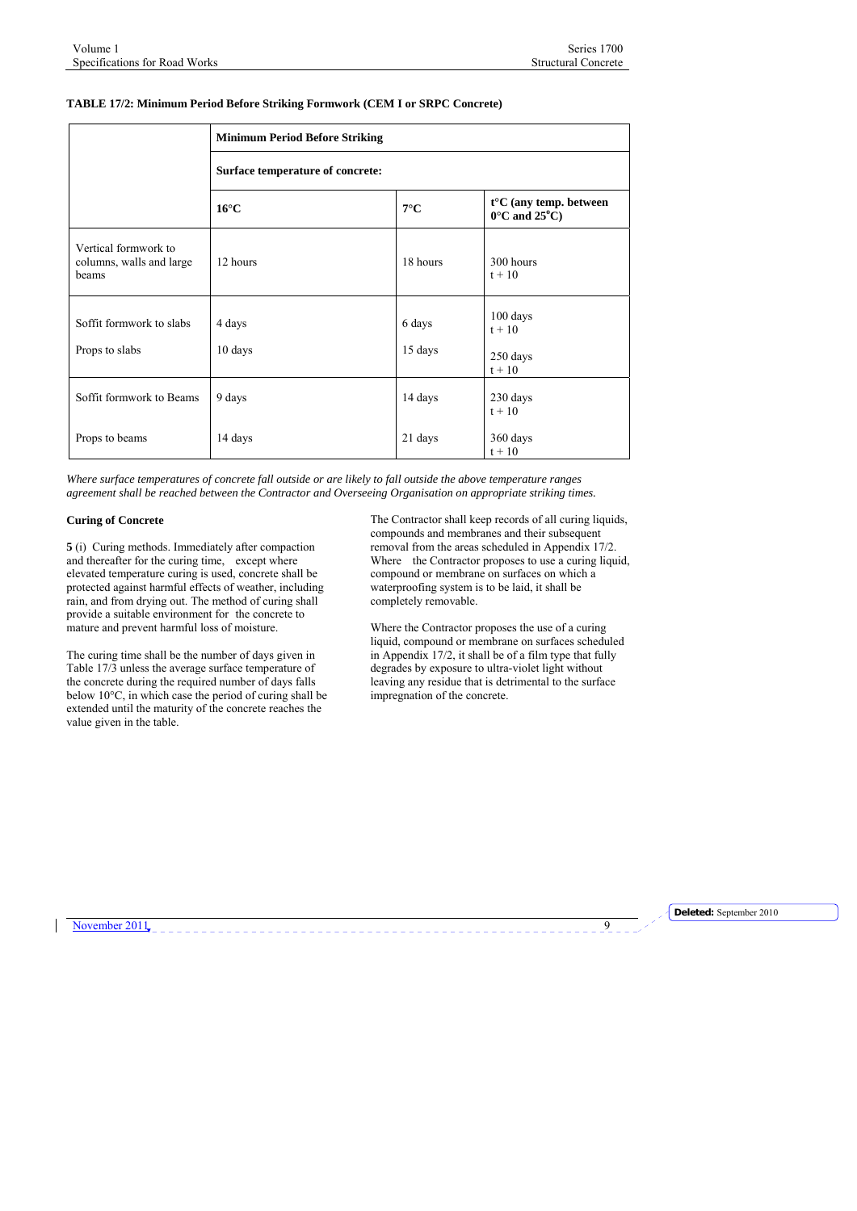# **TABLE 17/2: Minimum Period Before Striking Formwork (CEM I or SRPC Concrete)**

|                                                           | <b>Minimum Period Before Striking</b> |                   |                                                                       |
|-----------------------------------------------------------|---------------------------------------|-------------------|-----------------------------------------------------------------------|
|                                                           | Surface temperature of concrete:      |                   |                                                                       |
|                                                           | $16^{\circ}$ C                        | $7^{\circ}$ C     | $t^{\circ}$ C (any temp. between<br>$0^{\circ}$ C and $25^{\circ}$ C) |
| Vertical formwork to<br>columns, walls and large<br>heams | 12 hours                              | 18 hours          | 300 hours<br>$t + 10$                                                 |
| Soffit formwork to slabs<br>Props to slabs                | 4 days<br>10 days                     | 6 days<br>15 days | $100$ days<br>$t + 10$<br>250 days<br>$t+10$                          |
| Soffit formwork to Beams                                  | 9 days                                | 14 days           | 230 days<br>$t + 10$                                                  |
| Props to beams                                            | 14 days                               | 21 days           | 360 days<br>$t + 10$                                                  |

*Where surface temperatures of concrete fall outside or are likely to fall outside the above temperature ranges agreement shall be reached between the Contractor and Overseeing Organisation on appropriate striking times.* 

#### **Curing of Concrete**

**5** (i) Curing methods. Immediately after compaction and thereafter for the curing time, except where elevated temperature curing is used, concrete shall be protected against harmful effects of weather, including rain, and from drying out. The method of curing shall provide a suitable environment for the concrete to mature and prevent harmful loss of moisture.

The curing time shall be the number of days given in Table 17/3 unless the average surface temperature of the concrete during the required number of days falls below 10°C, in which case the period of curing shall be extended until the maturity of the concrete reaches the value given in the table.

The Contractor shall keep records of all curing liquids, compounds and membranes and their subsequent removal from the areas scheduled in Appendix 17/2. Where the Contractor proposes to use a curing liquid, compound or membrane on surfaces on which a waterproofing system is to be laid, it shall be completely removable.

Where the Contractor proposes the use of a curing liquid, compound or membrane on surfaces scheduled in Appendix  $17/2$ , it shall be of a film type that fully degrades by exposure to ultra-violet light without leaving any residue that is detrimental to the surface impregnation of the concrete.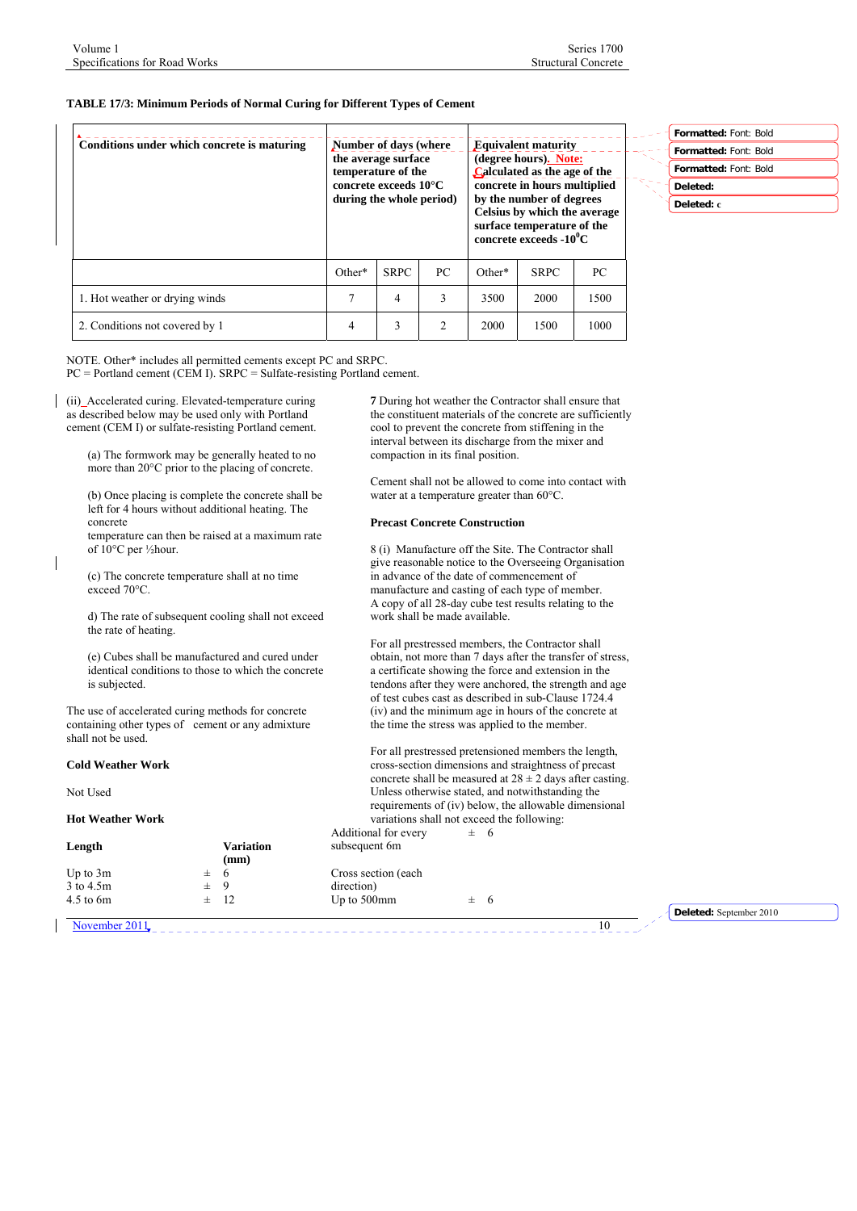# **TABLE 17/3: Minimum Periods of Normal Curing for Different Types of Cement**

| Conditions under which concrete is maturing | Number of days (where<br>the average surface<br>temperature of the<br>concrete exceeds $10^{\circ}$ C<br>during the whole period) |             |     |          | <b>Equivalent maturity</b><br>(degree hours). Note:<br>Calculated as the age of the<br>concrete in hours multiplied<br>by the number of degrees<br>Celsius by which the average<br>surface temperature of the<br>concrete exceeds $-10^0C$ |      | ×. |
|---------------------------------------------|-----------------------------------------------------------------------------------------------------------------------------------|-------------|-----|----------|--------------------------------------------------------------------------------------------------------------------------------------------------------------------------------------------------------------------------------------------|------|----|
|                                             | Other*                                                                                                                            | <b>SRPC</b> | PC. | $Other*$ | <b>SRPC</b>                                                                                                                                                                                                                                | PC   |    |
| 1. Hot weather or drying winds              |                                                                                                                                   | 4           | 3   | 3500     | 2000                                                                                                                                                                                                                                       | 1500 |    |
| 2. Conditions not covered by 1              | 4                                                                                                                                 | 3           | 2   | 2000     | 1500                                                                                                                                                                                                                                       | 1000 |    |

NOTE. Other\* includes all permitted cements except PC and SRPC.  $PC =$  Portland cement (CEM I). SRPC = Sulfate-resisting Portland cement.

(ii) Accelerated curing. Elevated-temperature curing  $\mathsf{l}$ as described below may be used only with Portland cement (CEM I) or sulfate-resisting Portland cement.

> (a) The formwork may be generally heated to no more than 20°C prior to the placing of concrete.

(b) Once placing is complete the concrete shall be left for 4 hours without additional heating. The concrete

temperature can then be raised at a maximum rate of 10°C per ½hour.

(c) The concrete temperature shall at no time exceed 70°C.

d) The rate of subsequent cooling shall not exceed the rate of heating.

(e) Cubes shall be manufactured and cured under identical conditions to those to which the concrete is subjected.

The use of accelerated curing methods for concrete containing other types of cement or any admixture shall not be used.

# **Cold Weather Work**

Not Used

#### **Hot Weather Work**

| Length        |         | <b>Variation</b><br>(mm) |
|---------------|---------|--------------------------|
| Up to $3m$    | $\pm$ 6 |                          |
| 3 to 4.5m     | $\pm$ 9 |                          |
| $4.5$ to $6m$ |         | $\pm$ 12                 |
|               |         |                          |

**7** During hot weather the Contractor shall ensure that the constituent materials of the concrete are sufficiently cool to prevent the concrete from stiffening in the interval between its discharge from the mixer and compaction in its final position.

Cement shall not be allowed to come into contact with water at a temperature greater than 60°C.

#### **Precast Concrete Construction**

8 (i) Manufacture off the Site. The Contractor shall give reasonable notice to the Overseeing Organisation in advance of the date of commencement of manufacture and casting of each type of member. A copy of all 28-day cube test results relating to the work shall be made available.

For all prestressed members, the Contractor shall obtain, not more than 7 days after the transfer of stress, a certificate showing the force and extension in the tendons after they were anchored, the strength and age of test cubes cast as described in sub-Clause 1724.4 (iv) and the minimum age in hours of the concrete at the time the stress was applied to the member.

For all prestressed pretensioned members the length, cross-section dimensions and straightness of precast concrete shall be measured at  $28 \pm 2$  days after casting. Unless otherwise stated, and notwithstanding the requirements of (iv) below, the allowable dimensional variations shall not exceed the following: Additional for every  $\pm$  6

subsequent 6m

Cross section (each direction) Up to 500mm  $\pm$  6

November 2011. 10

**Deleted:** September 2010

**Formatted:** Font: Bold **Formatted:** Font: Bold **Deleted: Deleted: c**

**Formatted:** Font: Bold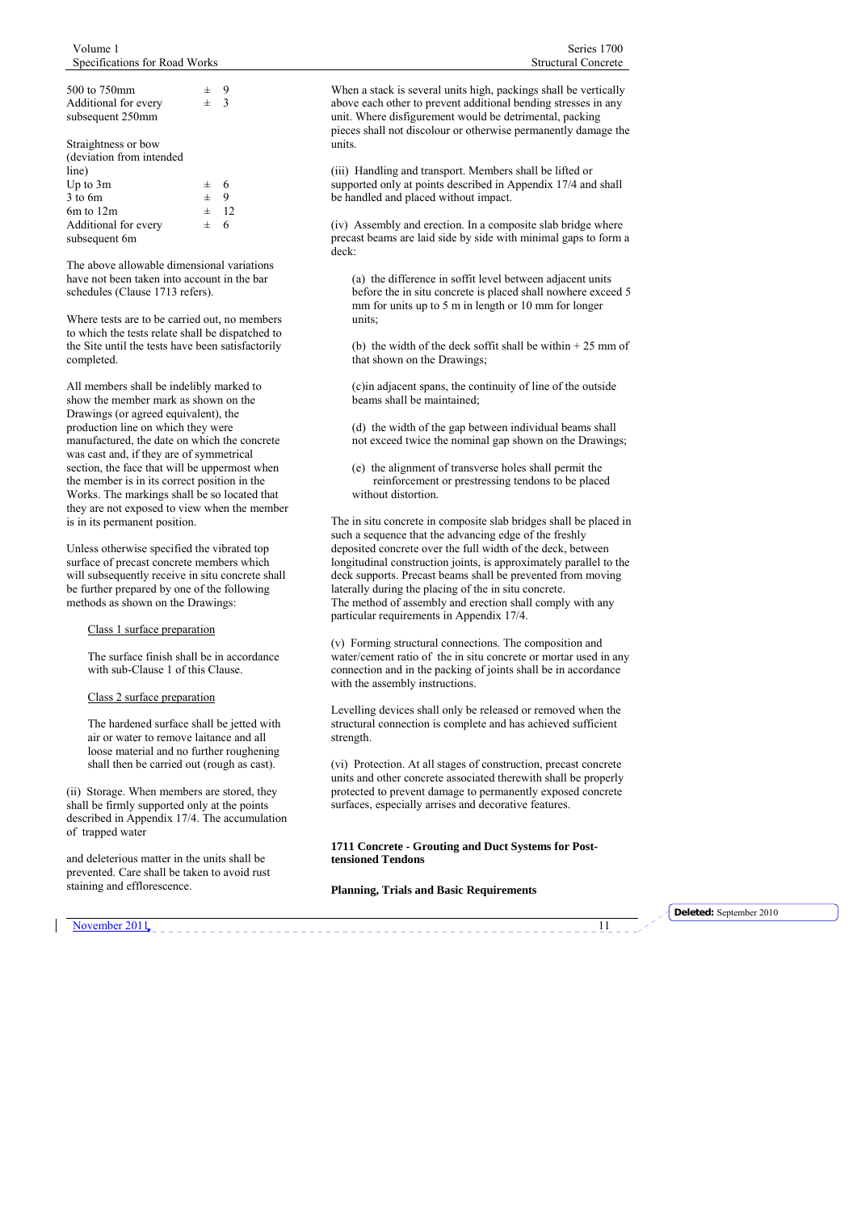<span id="page-10-0"></span>

| 士       | 9             |
|---------|---------------|
| 士       | $\mathcal{R}$ |
|         |               |
|         |               |
|         |               |
|         |               |
|         |               |
| $\pm$   | -6            |
| $\pm$ 9 |               |
|         | $\pm$ 12      |
| 士       | 6             |
|         |               |
|         |               |

The above allowable dimensional variations have not been taken into account in the bar schedules (Clause 1713 refers).

Where tests are to be carried out, no members to which the tests relate shall be dispatched to the Site until the tests have been satisfactorily completed.

All members shall be indelibly marked to show the member mark as shown on the Drawings (or agreed equivalent), the production line on which they were manufactured, the date on which the concrete was cast and, if they are of symmetrical section, the face that will be uppermost when the member is in its correct position in the Works. The markings shall be so located that they are not exposed to view when the member is in its permanent position.

Unless otherwise specified the vibrated top surface of precast concrete members which will subsequently receive in situ concrete shall be further prepared by one of the following methods as shown on the Drawings:

#### Class 1 surface preparation

The surface finish shall be in accordance with sub-Clause 1 of this Clause.

#### Class 2 surface preparation

The hardened surface shall be jetted with air or water to remove laitance and all loose material and no further roughening shall then be carried out (rough as cast).

(ii) Storage. When members are stored, they shall be firmly supported only at the points described in Appendix 17/4. The accumulation of trapped water

and deleterious matter in the units shall be prevented. Care shall be taken to avoid rust staining and efflorescence.

When a stack is several units high, packings shall be vertically above each other to prevent additional bending stresses in any unit. Where disfigurement would be detrimental, packing pieces shall not discolour or otherwise permanently damage the units.

(iii) Handling and transport. Members shall be lifted or supported only at points described in Appendix 17/4 and shall be handled and placed without impact.

(iv) Assembly and erection. In a composite slab bridge where precast beams are laid side by side with minimal gaps to form a deck:

(a) the difference in soffit level between adjacent units before the in situ concrete is placed shall nowhere exceed 5 mm for units up to 5 m in length or 10 mm for longer units:

(b) the width of the deck soffit shall be within + 25 mm of that shown on the Drawings;

(c)in adjacent spans, the continuity of line of the outside beams shall be maintained;

(d) the width of the gap between individual beams shall not exceed twice the nominal gap shown on the Drawings;

(e) the alignment of transverse holes shall permit the reinforcement or prestressing tendons to be placed without distortion.

The in situ concrete in composite slab bridges shall be placed in such a sequence that the advancing edge of the freshly deposited concrete over the full width of the deck, between longitudinal construction joints, is approximately parallel to the deck supports. Precast beams shall be prevented from moving laterally during the placing of the in situ concrete. The method of assembly and erection shall comply with any particular requirements in Appendix 17/4.

(v) Forming structural connections. The composition and water/cement ratio of the in situ concrete or mortar used in any connection and in the packing of joints shall be in accordance with the assembly instructions.

Levelling devices shall only be released or removed when the structural connection is complete and has achieved sufficient strength.

(vi) Protection. At all stages of construction, precast concrete units and other concrete associated therewith shall be properly protected to prevent damage to permanently exposed concrete surfaces, especially arrises and decorative features.

**1711 Concrete - Grouting and Duct Systems for Posttensioned Tendons** 

#### **Planning, Trials and Basic Requirements**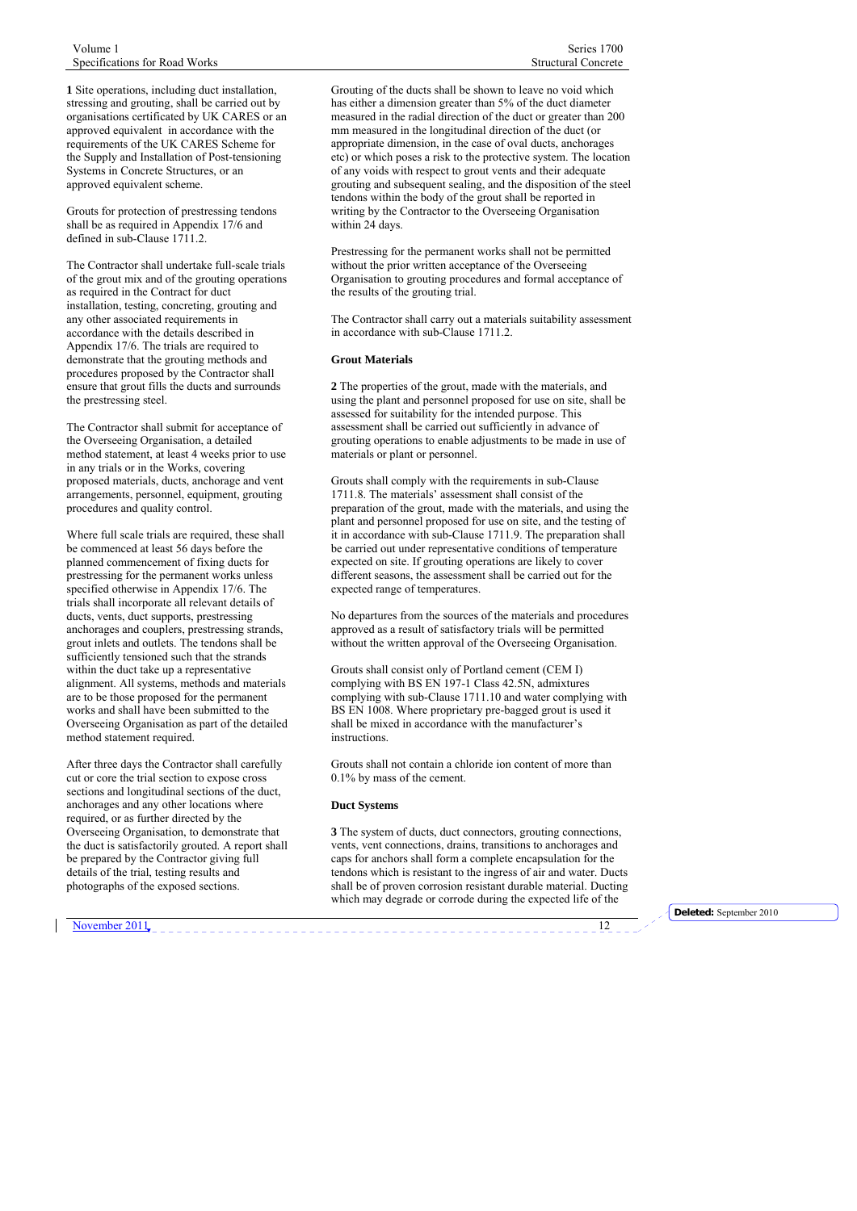**1** Site operations, including duct installation, stressing and grouting, shall be carried out by organisations certificated by UK CARES or an approved equivalent in accordance with the requirements of the UK CARES Scheme for the Supply and Installation of Post-tensioning Systems in Concrete Structures, or an approved equivalent scheme.

Grouts for protection of prestressing tendons shall be as required in Appendix 17/6 and defined in sub-Clause 1711.2.

The Contractor shall undertake full-scale trials of the grout mix and of the grouting operations as required in the Contract for duct installation, testing, concreting, grouting and any other associated requirements in accordance with the details described in Appendix 17/6. The trials are required to demonstrate that the grouting methods and procedures proposed by the Contractor shall ensure that grout fills the ducts and surrounds the prestressing steel.

The Contractor shall submit for acceptance of the Overseeing Organisation, a detailed method statement, at least 4 weeks prior to use in any trials or in the Works, covering proposed materials, ducts, anchorage and vent arrangements, personnel, equipment, grouting procedures and quality control.

Where full scale trials are required, these shall be commenced at least 56 days before the planned commencement of fixing ducts for prestressing for the permanent works unless specified otherwise in Appendix 17/6. The trials shall incorporate all relevant details of ducts, vents, duct supports, prestressing anchorages and couplers, prestressing strands, grout inlets and outlets. The tendons shall be sufficiently tensioned such that the strands within the duct take up a representative alignment. All systems, methods and materials are to be those proposed for the permanent works and shall have been submitted to the Overseeing Organisation as part of the detailed method statement required.

After three days the Contractor shall carefully cut or core the trial section to expose cross sections and longitudinal sections of the duct, anchorages and any other locations where required, or as further directed by the Overseeing Organisation, to demonstrate that the duct is satisfactorily grouted. A report shall be prepared by the Contractor giving full details of the trial, testing results and photographs of the exposed sections.

Grouting of the ducts shall be shown to leave no void which has either a dimension greater than 5% of the duct diameter measured in the radial direction of the duct or greater than 200 mm measured in the longitudinal direction of the duct (or appropriate dimension, in the case of oval ducts, anchorages etc) or which poses a risk to the protective system. The location of any voids with respect to grout vents and their adequate grouting and subsequent sealing, and the disposition of the steel tendons within the body of the grout shall be reported in writing by the Contractor to the Overseeing Organisation within 24 days.

Prestressing for the permanent works shall not be permitted without the prior written acceptance of the Overseeing Organisation to grouting procedures and formal acceptance of the results of the grouting trial.

The Contractor shall carry out a materials suitability assessment in accordance with sub-Clause 1711.2.

# **Grout Materials**

**2** The properties of the grout, made with the materials, and using the plant and personnel proposed for use on site, shall be assessed for suitability for the intended purpose. This assessment shall be carried out sufficiently in advance of grouting operations to enable adjustments to be made in use of materials or plant or personnel.

Grouts shall comply with the requirements in sub-Clause 1711.8. The materials' assessment shall consist of the preparation of the grout, made with the materials, and using the plant and personnel proposed for use on site, and the testing of it in accordance with sub-Clause 1711.9. The preparation shall be carried out under representative conditions of temperature expected on site. If grouting operations are likely to cover different seasons, the assessment shall be carried out for the expected range of temperatures.

No departures from the sources of the materials and procedures approved as a result of satisfactory trials will be permitted without the written approval of the Overseeing Organisation.

Grouts shall consist only of Portland cement (CEM I) complying with BS EN 197-1 Class 42.5N, admixtures complying with sub-Clause 1711.10 and water complying with BS EN 1008. Where proprietary pre-bagged grout is used it shall be mixed in accordance with the manufacturer's instructions.

Grouts shall not contain a chloride ion content of more than 0.1% by mass of the cement.

#### **Duct Systems**

**3** The system of ducts, duct connectors, grouting connections, vents, vent connections, drains, transitions to anchorages and caps for anchors shall form a complete encapsulation for the tendons which is resistant to the ingress of air and water. Ducts shall be of proven corrosion resistant durable material. Ducting which may degrade or corrode during the expected life of the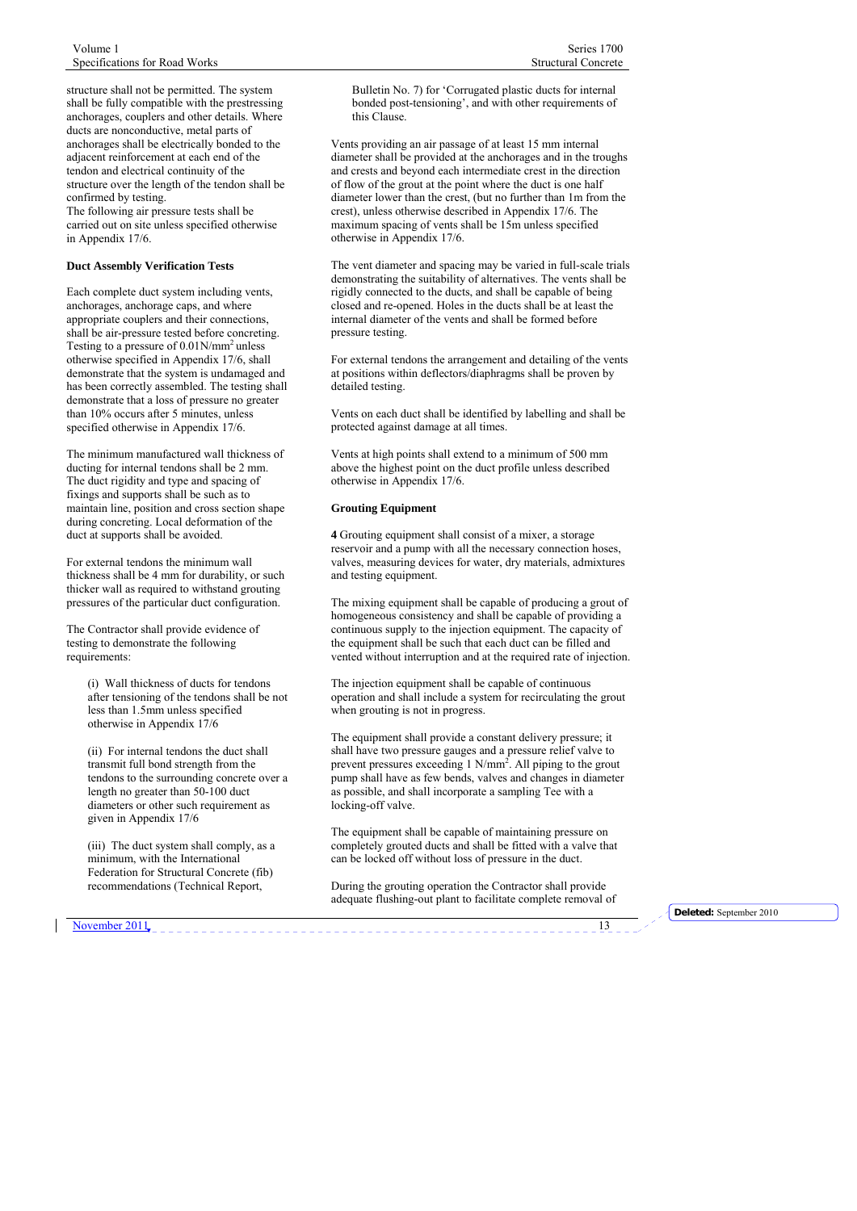structure shall not be permitted. The system shall be fully compatible with the prestressing anchorages, couplers and other details. Where ducts are nonconductive, metal parts of anchorages shall be electrically bonded to the adjacent reinforcement at each end of the tendon and electrical continuity of the structure over the length of the tendon shall be confirmed by testing. The following air pressure tests shall be carried out on site unless specified otherwise in Appendix 17/6.

#### **Duct Assembly Verification Tests**

Each complete duct system including vents, anchorages, anchorage caps, and where appropriate couplers and their connections, shall be air-pressure tested before concreting. Testing to a pressure of 0.01N/mm<sup>2</sup> unless otherwise specified in Appendix 17/6, shall demonstrate that the system is undamaged and has been correctly assembled. The testing shall demonstrate that a loss of pressure no greater than 10% occurs after 5 minutes, unless specified otherwise in Appendix 17/6.

The minimum manufactured wall thickness of ducting for internal tendons shall be 2 mm. The duct rigidity and type and spacing of fixings and supports shall be such as to maintain line, position and cross section shape during concreting. Local deformation of the duct at supports shall be avoided.

For external tendons the minimum wall thickness shall be 4 mm for durability, or such thicker wall as required to withstand grouting pressures of the particular duct configuration.

The Contractor shall provide evidence of testing to demonstrate the following requirements:

> (i) Wall thickness of ducts for tendons after tensioning of the tendons shall be not less than 1.5mm unless specified otherwise in Appendix 17/6

> (ii) For internal tendons the duct shall transmit full bond strength from the tendons to the surrounding concrete over a length no greater than 50-100 duct diameters or other such requirement as given in Appendix 17/6

(iii) The duct system shall comply, as a minimum, with the International Federation for Structural Concrete (fib) recommendations (Technical Report,

Bulletin No. 7) for 'Corrugated plastic ducts for internal bonded post-tensioning', and with other requirements of this Clause.

Vents providing an air passage of at least 15 mm internal diameter shall be provided at the anchorages and in the troughs and crests and beyond each intermediate crest in the direction of flow of the grout at the point where the duct is one half diameter lower than the crest, (but no further than 1m from the crest), unless otherwise described in Appendix 17/6. The maximum spacing of vents shall be 15m unless specified otherwise in Appendix 17/6.

The vent diameter and spacing may be varied in full-scale trials demonstrating the suitability of alternatives. The vents shall be rigidly connected to the ducts, and shall be capable of being closed and re-opened. Holes in the ducts shall be at least the internal diameter of the vents and shall be formed before pressure testing.

For external tendons the arrangement and detailing of the vents at positions within deflectors/diaphragms shall be proven by detailed testing.

Vents on each duct shall be identified by labelling and shall be protected against damage at all times.

Vents at high points shall extend to a minimum of 500 mm above the highest point on the duct profile unless described otherwise in Appendix 17/6.

#### **Grouting Equipment**

**4** Grouting equipment shall consist of a mixer, a storage reservoir and a pump with all the necessary connection hoses, valves, measuring devices for water, dry materials, admixtures and testing equipment.

The mixing equipment shall be capable of producing a grout of homogeneous consistency and shall be capable of providing a continuous supply to the injection equipment. The capacity of the equipment shall be such that each duct can be filled and vented without interruption and at the required rate of injection.

The injection equipment shall be capable of continuous operation and shall include a system for recirculating the grout when grouting is not in progress.

The equipment shall provide a constant delivery pressure; it shall have two pressure gauges and a pressure relief valve to prevent pressures exceeding  $1 \text{ N/mm}^2$ . All piping to the grout pump shall have as few bends, valves and changes in diameter as possible, and shall incorporate a sampling Tee with a locking-off valve.

The equipment shall be capable of maintaining pressure on completely grouted ducts and shall be fitted with a valve that can be locked off without loss of pressure in the duct.

During the grouting operation the Contractor shall provide adequate flushing-out plant to facilitate complete removal of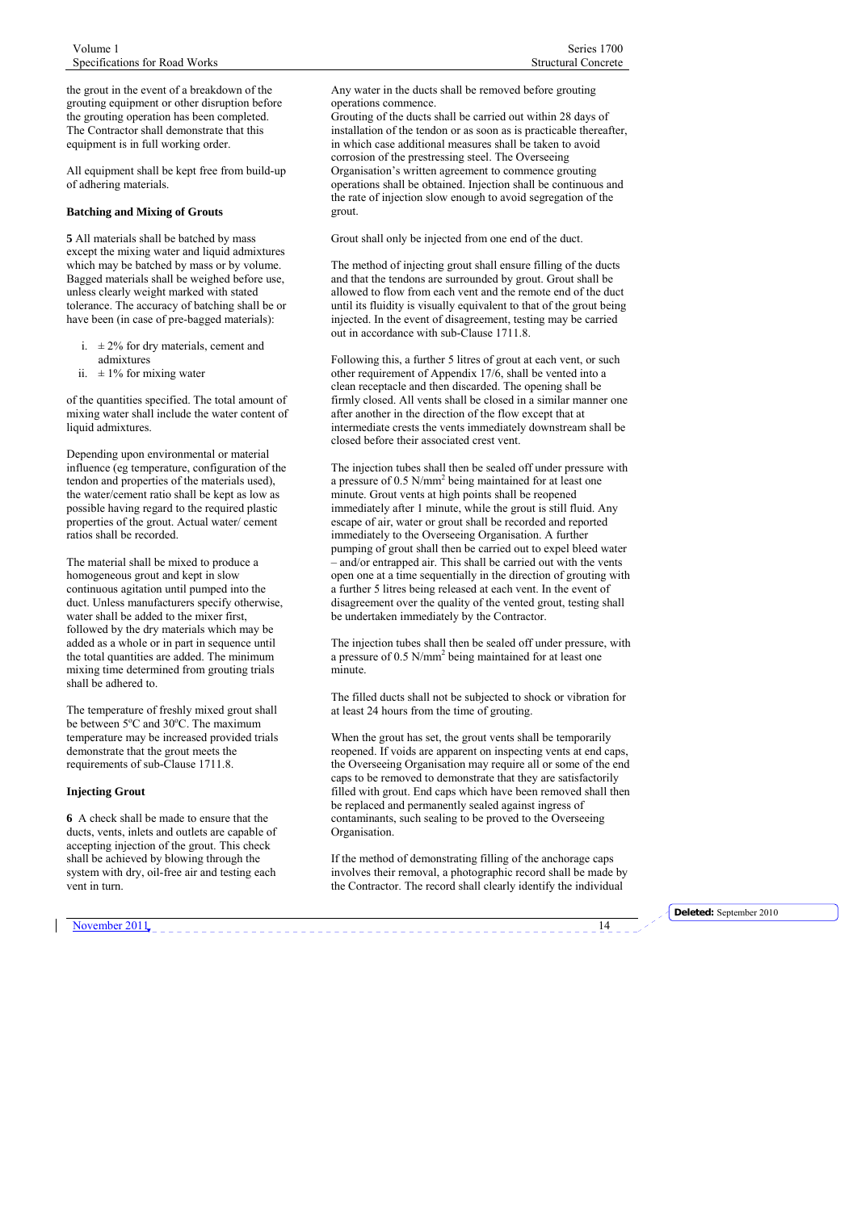the grout in the event of a breakdown of the grouting equipment or other disruption before the grouting operation has been completed. The Contractor shall demonstrate that this equipment is in full working order.

All equipment shall be kept free from build-up of adhering materials.

#### **Batching and Mixing of Grouts**

**5** All materials shall be batched by mass except the mixing water and liquid admixtures which may be batched by mass or by volume. Bagged materials shall be weighed before use, unless clearly weight marked with stated tolerance. The accuracy of batching shall be or have been (in case of pre-bagged materials):

- i.  $\pm 2\%$  for dry materials, cement and
- admixtures ii.  $\pm 1\%$  for mixing water

of the quantities specified. The total amount of mixing water shall include the water content of liquid admixtures.

Depending upon environmental or material influence (eg temperature, configuration of the tendon and properties of the materials used), the water/cement ratio shall be kept as low as possible having regard to the required plastic properties of the grout. Actual water/ cement ratios shall be recorded.

The material shall be mixed to produce a homogeneous grout and kept in slow continuous agitation until pumped into the duct. Unless manufacturers specify otherwise. water shall be added to the mixer first, followed by the dry materials which may be added as a whole or in part in sequence until the total quantities are added. The minimum mixing time determined from grouting trials shall be adhered to.

The temperature of freshly mixed grout shall be between 5°C and 30°C. The maximum temperature may be increased provided trials demonstrate that the grout meets the requirements of sub-Clause 1711.8.

#### **Injecting Grout**

**6** A check shall be made to ensure that the ducts, vents, inlets and outlets are capable of accepting injection of the grout. This check shall be achieved by blowing through the system with dry, oil-free air and testing each vent in turn.

Any water in the ducts shall be removed before grouting operations commence.

Grouting of the ducts shall be carried out within 28 days of installation of the tendon or as soon as is practicable thereafter, in which case additional measures shall be taken to avoid corrosion of the prestressing steel. The Overseeing Organisation's written agreement to commence grouting operations shall be obtained. Injection shall be continuous and the rate of injection slow enough to avoid segregation of the grout.

Grout shall only be injected from one end of the duct.

The method of injecting grout shall ensure filling of the ducts and that the tendons are surrounded by grout. Grout shall be allowed to flow from each vent and the remote end of the duct until its fluidity is visually equivalent to that of the grout being injected. In the event of disagreement, testing may be carried out in accordance with sub-Clause 1711.8.

Following this, a further 5 litres of grout at each vent, or such other requirement of Appendix 17/6, shall be vented into a clean receptacle and then discarded. The opening shall be firmly closed. All vents shall be closed in a similar manner one after another in the direction of the flow except that at intermediate crests the vents immediately downstream shall be closed before their associated crest vent.

The injection tubes shall then be sealed off under pressure with a pressure of 0.5 N/mm2 being maintained for at least one minute. Grout vents at high points shall be reopened immediately after 1 minute, while the grout is still fluid. Any escape of air, water or grout shall be recorded and reported immediately to the Overseeing Organisation. A further pumping of grout shall then be carried out to expel bleed water – and/or entrapped air. This shall be carried out with the vents open one at a time sequentially in the direction of grouting with a further 5 litres being released at each vent. In the event of disagreement over the quality of the vented grout, testing shall be undertaken immediately by the Contractor.

The injection tubes shall then be sealed off under pressure, with a pressure of 0.5 N/mm<sup>2</sup> being maintained for at least one minute.

The filled ducts shall not be subjected to shock or vibration for at least 24 hours from the time of grouting.

When the grout has set, the grout vents shall be temporarily reopened. If voids are apparent on inspecting vents at end caps, the Overseeing Organisation may require all or some of the end caps to be removed to demonstrate that they are satisfactorily filled with grout. End caps which have been removed shall then be replaced and permanently sealed against ingress of contaminants, such sealing to be proved to the Overseeing Organisation.

If the method of demonstrating filling of the anchorage caps involves their removal, a photographic record shall be made by the Contractor. The record shall clearly identify the individual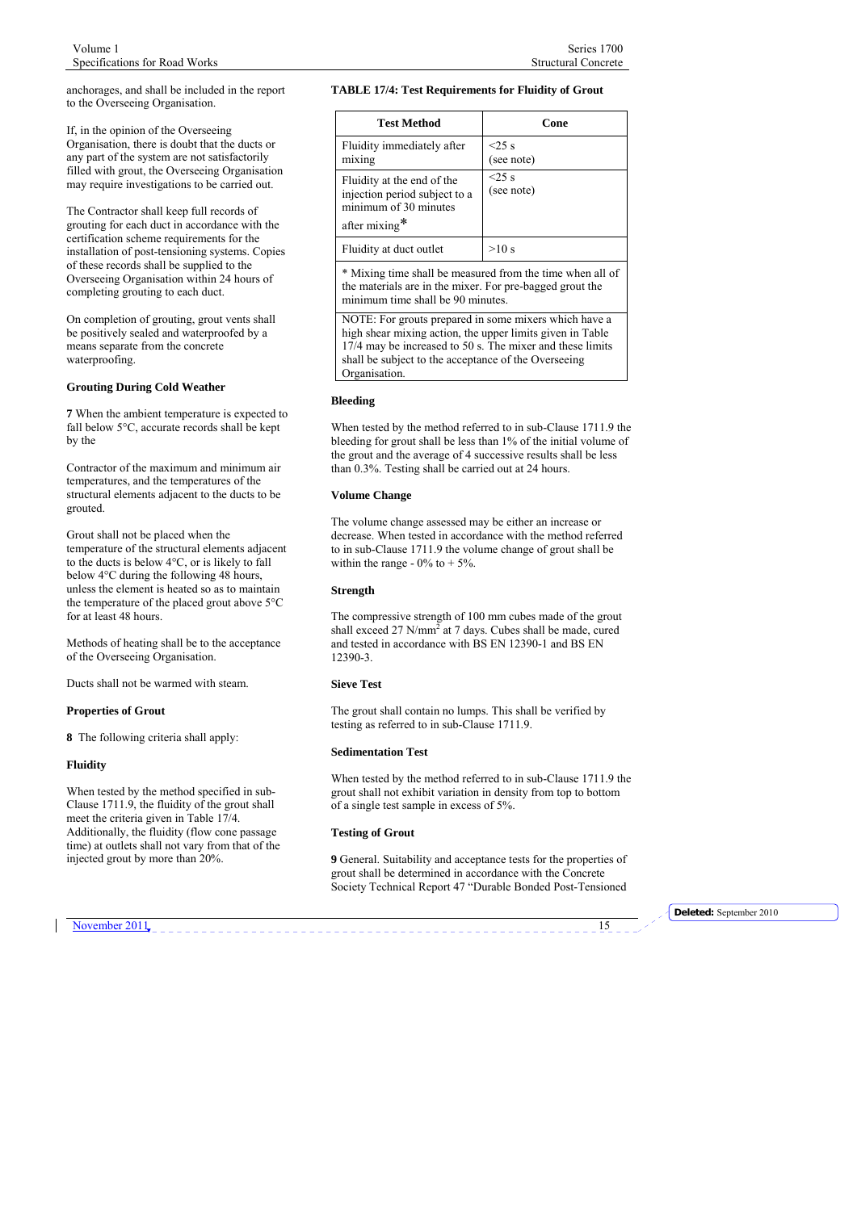anchorages, and shall be included in the report to the Overseeing Organisation.

If, in the opinion of the Overseeing Organisation, there is doubt that the ducts or any part of the system are not satisfactorily filled with grout, the Overseeing Organisation may require investigations to be carried out.

The Contractor shall keep full records of grouting for each duct in accordance with the certification scheme requirements for the installation of post-tensioning systems. Copies of these records shall be supplied to the Overseeing Organisation within 24 hours of completing grouting to each duct.

On completion of grouting, grout vents shall be positively sealed and waterproofed by a means separate from the concrete waterproofing.

# **Grouting During Cold Weather**

**7** When the ambient temperature is expected to fall below 5°C, accurate records shall be kept by the

Contractor of the maximum and minimum air temperatures, and the temperatures of the structural elements adjacent to the ducts to be grouted.

Grout shall not be placed when the temperature of the structural elements adjacent to the ducts is below 4°C, or is likely to fall below 4°C during the following 48 hours, unless the element is heated so as to maintain the temperature of the placed grout above 5°C for at least 48 hours.

Methods of heating shall be to the acceptance of the Overseeing Organisation.

Ducts shall not be warmed with steam.

#### **Properties of Grout**

**8** The following criteria shall apply:

#### **Fluidity**

When tested by the method specified in sub-Clause 1711.9, the fluidity of the grout shall meet the criteria given in Table 17/4. Additionally, the fluidity (flow cone passage time) at outlets shall not vary from that of the injected grout by more than 20%.

#### **TABLE 17/4: Test Requirements for Fluidity of Grout**

| <b>Test Method</b>                                                                                    | Cone                   |
|-------------------------------------------------------------------------------------------------------|------------------------|
| Fluidity immediately after<br>mixing                                                                  | $<$ 25 s<br>(see note) |
| Fluidity at the end of the<br>injection period subject to a<br>minimum of 30 minutes<br>after mixing* | $<$ 25 s<br>(see note) |
| Fluidity at duct outlet                                                                               | >10 s                  |

\* Mixing time shall be measured from the time when all of the materials are in the mixer. For pre-bagged grout the minimum time shall be 90 minutes.

NOTE: For grouts prepared in some mixers which have a high shear mixing action, the upper limits given in Table 17/4 may be increased to 50 s. The mixer and these limits shall be subject to the acceptance of the Overseeing Organisation.

#### **Bleeding**

When tested by the method referred to in sub-Clause 1711.9 the bleeding for grout shall be less than 1% of the initial volume of the grout and the average of 4 successive results shall be less than 0.3%. Testing shall be carried out at 24 hours.

#### **Volume Change**

The volume change assessed may be either an increase or decrease. When tested in accordance with the method referred to in sub-Clause 1711.9 the volume change of grout shall be within the range -  $0\%$  to + 5%.

# **Strength**

The compressive strength of 100 mm cubes made of the grout shall exceed 27  $N/mm^2$  at 7 days. Cubes shall be made, cured and tested in accordance with BS EN 12390-1 and BS EN 12390-3.

#### **Sieve Test**

The grout shall contain no lumps. This shall be verified by testing as referred to in sub-Clause 1711.9.

# **Sedimentation Test**

When tested by the method referred to in sub-Clause 1711.9 the grout shall not exhibit variation in density from top to bottom of a single test sample in excess of 5%.

#### **Testing of Grout**

**9** General. Suitability and acceptance tests for the properties of grout shall be determined in accordance with the Concrete Society Technical Report 47 "Durable Bonded Post-Tensioned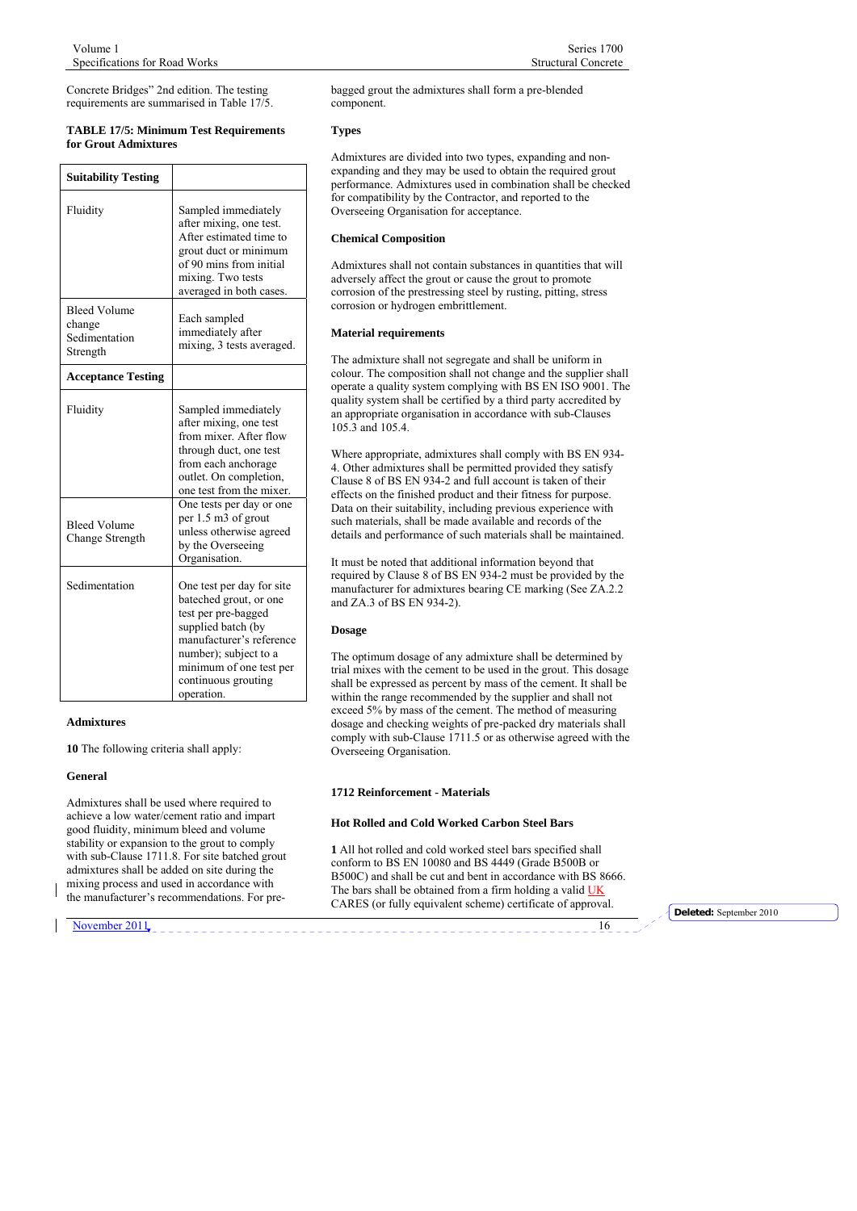<span id="page-15-0"></span>Concrete Bridges" 2nd edition. The testing requirements are summarised in Table 17/5.

#### **TABLE 17/5: Minimum Test Requirements for Grout Admixtures**

| <b>Suitability Testing</b>                                 |                                                                                                                                                                                                                                                                                   |
|------------------------------------------------------------|-----------------------------------------------------------------------------------------------------------------------------------------------------------------------------------------------------------------------------------------------------------------------------------|
| Fluidity                                                   | Sampled immediately<br>after mixing, one test.<br>After estimated time to<br>grout duct or minimum<br>of 90 mins from initial<br>mixing. Two tests<br>averaged in both cases.                                                                                                     |
| <b>Bleed Volume</b><br>change<br>Sedimentation<br>Strength | Each sampled<br>immediately after<br>mixing, 3 tests averaged.                                                                                                                                                                                                                    |
| <b>Acceptance Testing</b>                                  |                                                                                                                                                                                                                                                                                   |
| Fluidity<br><b>Bleed Volume</b><br>Change Strength         | Sampled immediately<br>after mixing, one test<br>from mixer. After flow<br>through duct, one test<br>from each anchorage<br>outlet. On completion,<br>one test from the mixer.<br>One tests per day or one<br>per 1.5 m3 of grout<br>unless otherwise agreed<br>by the Overseeing |
| Sedimentation                                              | Organisation.<br>One test per day for site<br>bateched grout, or one<br>test per pre-bagged<br>supplied batch (by<br>manufacturer's reference<br>number); subject to a<br>minimum of one test per<br>continuous grouting<br>operation.                                            |

#### **Admixtures**

**10** The following criteria shall apply:

#### **General**

Admixtures shall be used where required to achieve a low water/cement ratio and impart good fluidity, minimum bleed and volume stability or expansion to the grout to comply with sub-Clause 1711.8. For site batched grout admixtures shall be added on site during the mixing process and used in accordance with the manufacturer's recommendations. For prebagged grout the admixtures shall form a pre-blended

#### **Types**

component.

Admixtures are divided into two types, expanding and nonexpanding and they may be used to obtain the required grout performance. Admixtures used in combination shall be checked for compatibility by the Contractor, and reported to the Overseeing Organisation for acceptance.

#### **Chemical Composition**

Admixtures shall not contain substances in quantities that will adversely affect the grout or cause the grout to promote corrosion of the prestressing steel by rusting, pitting, stress corrosion or hydrogen embrittlement.

#### **Material requirements**

The admixture shall not segregate and shall be uniform in colour. The composition shall not change and the supplier shall operate a quality system complying with BS EN ISO 9001. The quality system shall be certified by a third party accredited by an appropriate organisation in accordance with sub-Clauses 105.3 and 105.4.

Where appropriate, admixtures shall comply with BS EN 934- 4. Other admixtures shall be permitted provided they satisfy Clause 8 of BS EN 934-2 and full account is taken of their effects on the finished product and their fitness for purpose. Data on their suitability, including previous experience with such materials, shall be made available and records of the details and performance of such materials shall be maintained.

It must be noted that additional information beyond that required by Clause 8 of BS EN 934-2 must be provided by the manufacturer for admixtures bearing CE marking (See ZA.2.2 and ZA.3 of BS EN 934-2).

#### **Dosage**

The optimum dosage of any admixture shall be determined by trial mixes with the cement to be used in the grout. This dosage shall be expressed as percent by mass of the cement. It shall be within the range recommended by the supplier and shall not exceed 5% by mass of the cement. The method of measuring dosage and checking weights of pre-packed dry materials shall comply with sub-Clause 1711.5 or as otherwise agreed with the Overseeing Organisation.

#### **1712 Reinforcement - Materials**

#### **Hot Rolled and Cold Worked Carbon Steel Bars**

**1** All hot rolled and cold worked steel bars specified shall conform to BS EN 10080 and BS 4449 (Grade B500B or B500C) and shall be cut and bent in accordance with BS 8666. The bars shall be obtained from a firm holding a valid UK CARES (or fully equivalent scheme) certificate of approval. **Deleted:** September 2010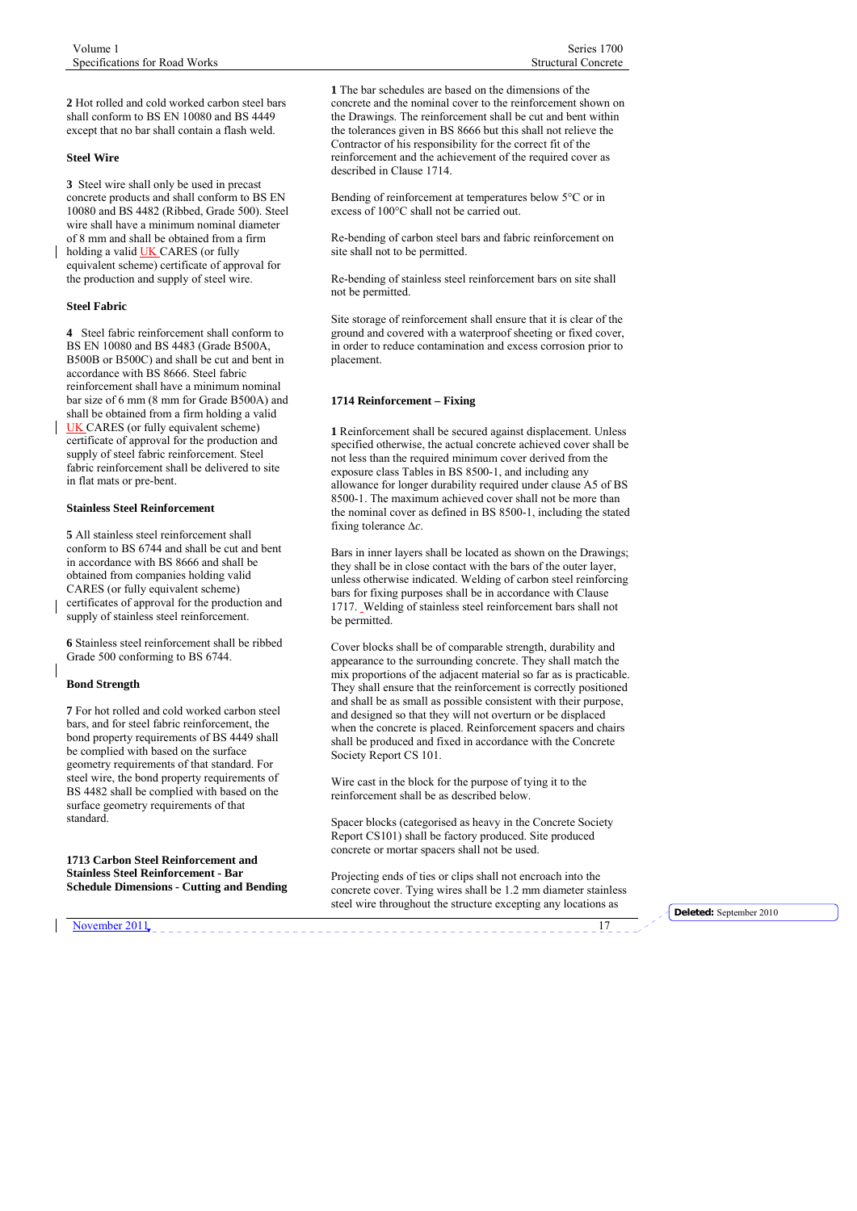<span id="page-16-0"></span>**2** Hot rolled and cold worked carbon steel bars shall conform to BS EN 10080 and BS 4449 except that no bar shall contain a flash weld.

#### **Steel Wire**

**3** Steel wire shall only be used in precast concrete products and shall conform to BS EN 10080 and BS 4482 (Ribbed, Grade 500). Steel wire shall have a minimum nominal diameter of 8 mm and shall be obtained from a firm

holding a valid UK CARES (or fully equivalent scheme) certificate of approval for the production and supply of steel wire.

# **Steel Fabric**

**4** Steel fabric reinforcement shall conform to BS EN 10080 and BS 4483 (Grade B500A, B500B or B500C) and shall be cut and bent in accordance with BS 8666. Steel fabric reinforcement shall have a minimum nominal bar size of 6 mm (8 mm for Grade B500A) and shall be obtained from a firm holding a valid UK CARES (or fully equivalent scheme) certificate of approval for the production and supply of steel fabric reinforcement. Steel fabric reinforcement shall be delivered to site in flat mats or pre-bent.

#### **Stainless Steel Reinforcement**

**5** All stainless steel reinforcement shall conform to BS 6744 and shall be cut and bent in accordance with BS 8666 and shall be obtained from companies holding valid CARES (or fully equivalent scheme) certificates of approval for the production and supply of stainless steel reinforcement.

**6** Stainless steel reinforcement shall be ribbed Grade 500 conforming to BS 6744.

## **Bond Strength**

**7** For hot rolled and cold worked carbon steel bars, and for steel fabric reinforcement, the bond property requirements of BS 4449 shall be complied with based on the surface geometry requirements of that standard. For steel wire, the bond property requirements of BS 4482 shall be complied with based on the surface geometry requirements of that standard.

**1713 Carbon Steel Reinforcement and Stainless Steel Reinforcement - Bar Schedule Dimensions - Cutting and Bending** 

**1** The bar schedules are based on the dimensions of the concrete and the nominal cover to the reinforcement shown on the Drawings. The reinforcement shall be cut and bent within the tolerances given in BS 8666 but this shall not relieve the Contractor of his responsibility for the correct fit of the reinforcement and the achievement of the required cover as described in Clause 1714.

Bending of reinforcement at temperatures below 5°C or in excess of 100°C shall not be carried out.

Re-bending of carbon steel bars and fabric reinforcement on site shall not to be permitted.

Re-bending of stainless steel reinforcement bars on site shall not be permitted.

Site storage of reinforcement shall ensure that it is clear of the ground and covered with a waterproof sheeting or fixed cover, in order to reduce contamination and excess corrosion prior to placement.

# **1714 Reinforcement – Fixing**

**1** Reinforcement shall be secured against displacement. Unless specified otherwise, the actual concrete achieved cover shall be not less than the required minimum cover derived from the exposure class Tables in BS 8500-1, and including any allowance for longer durability required under clause A5 of BS 8500-1. The maximum achieved cover shall not be more than the nominal cover as defined in BS 8500-1, including the stated fixing tolerance ∆*c*.

Bars in inner layers shall be located as shown on the Drawings; they shall be in close contact with the bars of the outer layer, unless otherwise indicated. Welding of carbon steel reinforcing bars for fixing purposes shall be in accordance with Clause 1717. Welding of stainless steel reinforcement bars shall not be permitted.

Cover blocks shall be of comparable strength, durability and appearance to the surrounding concrete. They shall match the mix proportions of the adjacent material so far as is practicable. They shall ensure that the reinforcement is correctly positioned and shall be as small as possible consistent with their purpose, and designed so that they will not overturn or be displaced when the concrete is placed. Reinforcement spacers and chairs shall be produced and fixed in accordance with the Concrete Society Report CS 101.

Wire cast in the block for the purpose of tying it to the reinforcement shall be as described below.

Spacer blocks (categorised as heavy in the Concrete Society Report CS101) shall be factory produced. Site produced concrete or mortar spacers shall not be used.

Projecting ends of ties or clips shall not encroach into the concrete cover. Tying wires shall be 1.2 mm diameter stainless steel wire throughout the structure excepting any locations as **Deleted:** September 2010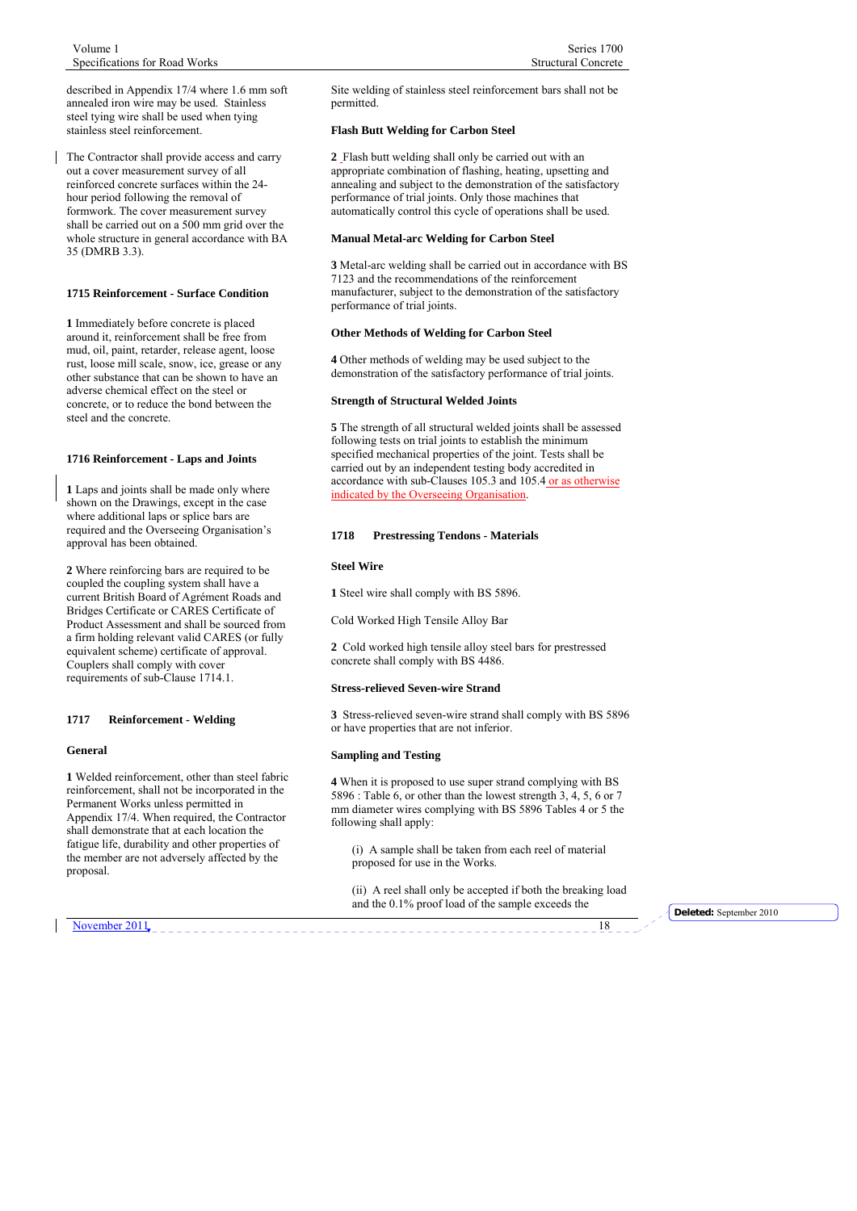<span id="page-17-0"></span>described in Appendix 17/4 where 1.6 mm soft annealed iron wire may be used. Stainless steel tying wire shall be used when tying stainless steel reinforcement.

The Contractor shall provide access and carry out a cover measurement survey of all reinforced concrete surfaces within the 24 hour period following the removal of formwork. The cover measurement survey shall be carried out on a 500 mm grid over the whole structure in general accordance with BA 35 (DMRB 3.3).

# **1715 Reinforcement - Surface Condition**

**1** Immediately before concrete is placed around it, reinforcement shall be free from mud, oil, paint, retarder, release agent, loose rust, loose mill scale, snow, ice, grease or any other substance that can be shown to have an adverse chemical effect on the steel or concrete, or to reduce the bond between the steel and the concrete.

#### **1716 Reinforcement - Laps and Joints**

**1** Laps and joints shall be made only where shown on the Drawings, except in the case where additional laps or splice bars are required and the Overseeing Organisation's approval has been obtained.

**2** Where reinforcing bars are required to be coupled the coupling system shall have a current British Board of Agrément Roads and Bridges Certificate or CARES Certificate of Product Assessment and shall be sourced from a firm holding relevant valid CARES (or fully equivalent scheme) certificate of approval. Couplers shall comply with cover requirements of sub-Clause 1714.1.

#### **1717 Reinforcement - Welding**

#### **General**

**1** Welded reinforcement, other than steel fabric reinforcement, shall not be incorporated in the Permanent Works unless permitted in Appendix 17/4. When required, the Contractor shall demonstrate that at each location the fatigue life, durability and other properties of the member are not adversely affected by the proposal.

November 2011

Site welding of stainless steel reinforcement bars shall not be permitted.

#### **Flash Butt Welding for Carbon Steel**

**2** Flash butt welding shall only be carried out with an appropriate combination of flashing, heating, upsetting and annealing and subject to the demonstration of the satisfactory performance of trial joints. Only those machines that automatically control this cycle of operations shall be used.

#### **Manual Metal-arc Welding for Carbon Steel**

**3** Metal-arc welding shall be carried out in accordance with BS 7123 and the recommendations of the reinforcement manufacturer, subject to the demonstration of the satisfactory performance of trial joints.

#### **Other Methods of Welding for Carbon Steel**

**4** Other methods of welding may be used subject to the demonstration of the satisfactory performance of trial joints.

# **Strength of Structural Welded Joints**

**5** The strength of all structural welded joints shall be assessed following tests on trial joints to establish the minimum specified mechanical properties of the joint. Tests shall be carried out by an independent testing body accredited in accordance with sub-Clauses 105.3 and 105.4 or as otherwise indicated by the Overseeing Organisation.

#### **1718 Prestressing Tendons - Materials**

#### **Steel Wire**

**1** Steel wire shall comply with BS 5896.

Cold Worked High Tensile Alloy Bar

**2** Cold worked high tensile alloy steel bars for prestressed concrete shall comply with BS 4486.

#### **Stress-relieved Seven-wire Strand**

**3** Stress-relieved seven-wire strand shall comply with BS 5896 or have properties that are not inferior.

#### **Sampling and Testing**

**4** When it is proposed to use super strand complying with BS 5896 : Table 6, or other than the lowest strength  $3, 4, 5, 6$  or 7 mm diameter wires complying with BS 5896 Tables 4 or 5 the following shall apply:

(i) A sample shall be taken from each reel of material proposed for use in the Works.

(ii) A reel shall only be accepted if both the breaking load and the 0.1% proof load of the sample exceeds the **Deleted:** September 2010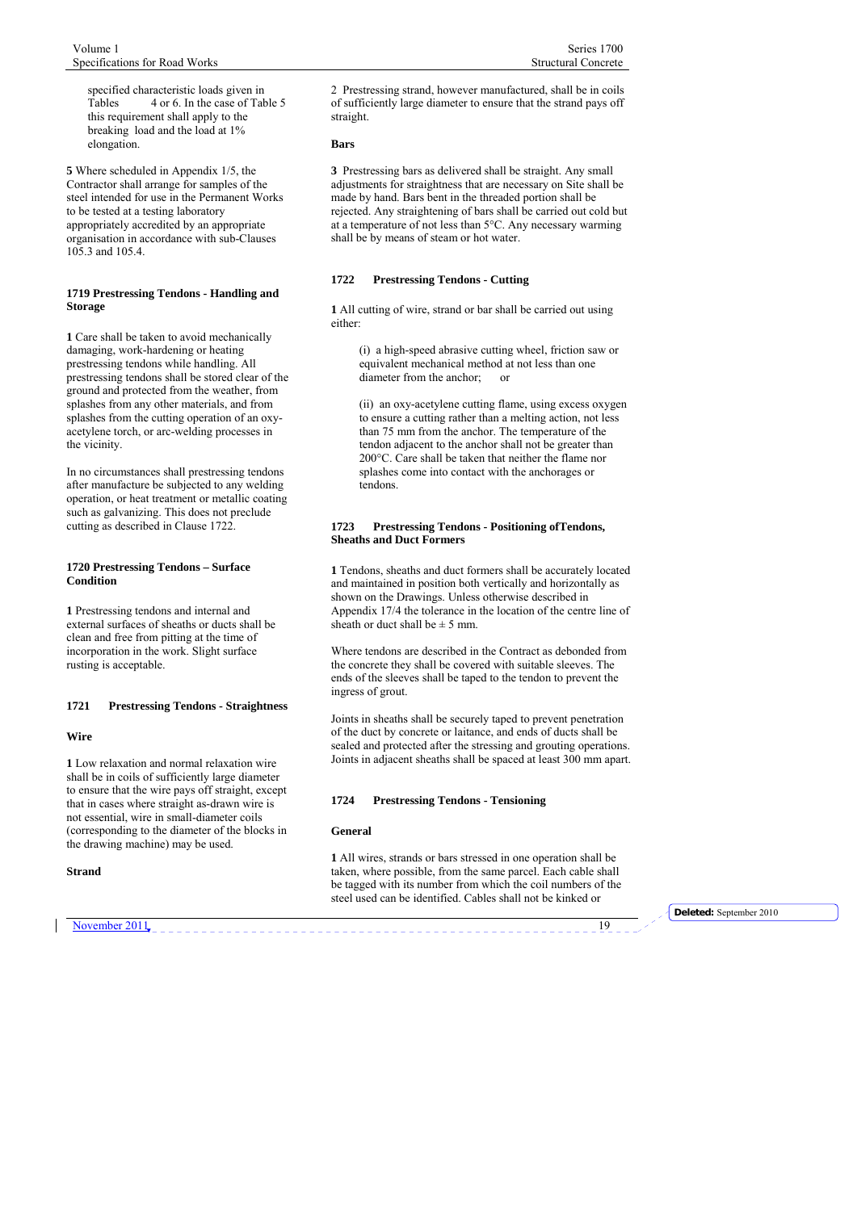<span id="page-18-0"></span>specified characteristic loads given in Tables 4 or 6. In the case of Table 5 this requirement shall apply to the breaking load and the load at 1% elongation.

**5** Where scheduled in Appendix 1/5, the Contractor shall arrange for samples of the steel intended for use in the Permanent Works to be tested at a testing laboratory appropriately accredited by an appropriate organisation in accordance with sub-Clauses 105.3 and 105.4.

## **1719 Prestressing Tendons - Handling and Storage**

**1** Care shall be taken to avoid mechanically damaging, work-hardening or heating prestressing tendons while handling. All prestressing tendons shall be stored clear of the ground and protected from the weather, from splashes from any other materials, and from splashes from the cutting operation of an oxyacetylene torch, or arc-welding processes in the vicinity.

In no circumstances shall prestressing tendons after manufacture be subjected to any welding operation, or heat treatment or metallic coating such as galvanizing. This does not preclude cutting as described in Clause 1722.

#### **1720 Prestressing Tendons – Surface Condition**

**1** Prestressing tendons and internal and external surfaces of sheaths or ducts shall be clean and free from pitting at the time of incorporation in the work. Slight surface rusting is acceptable.

# **1721 Prestressing Tendons - Straightness**

# **Wire**

**1** Low relaxation and normal relaxation wire shall be in coils of sufficiently large diameter to ensure that the wire pays off straight, except that in cases where straight as-drawn wire is not essential, wire in small-diameter coils (corresponding to the diameter of the blocks in the drawing machine) may be used.

## **Strand**

2 Prestressing strand, however manufactured, shall be in coils of sufficiently large diameter to ensure that the strand pays off straight.

# **Bars**

**3** Prestressing bars as delivered shall be straight. Any small adjustments for straightness that are necessary on Site shall be made by hand. Bars bent in the threaded portion shall be rejected. Any straightening of bars shall be carried out cold but at a temperature of not less than 5°C. Any necessary warming shall be by means of steam or hot water.

# **1722 Prestressing Tendons - Cutting**

**1** All cutting of wire, strand or bar shall be carried out using either:

> (i) a high-speed abrasive cutting wheel, friction saw or equivalent mechanical method at not less than one diameter from the anchor; or

(ii) an oxy-acetylene cutting flame, using excess oxygen to ensure a cutting rather than a melting action, not less than 75 mm from the anchor. The temperature of the tendon adjacent to the anchor shall not be greater than 200°C. Care shall be taken that neither the flame nor splashes come into contact with the anchorages or tendons.

#### **1723 Prestressing Tendons - Positioning ofTendons, Sheaths and Duct Formers**

**1** Tendons, sheaths and duct formers shall be accurately located and maintained in position both vertically and horizontally as shown on the Drawings. Unless otherwise described in Appendix 17/4 the tolerance in the location of the centre line of sheath or duct shall be  $\pm$  5 mm.

Where tendons are described in the Contract as debonded from the concrete they shall be covered with suitable sleeves. The ends of the sleeves shall be taped to the tendon to prevent the ingress of grout.

Joints in sheaths shall be securely taped to prevent penetration of the duct by concrete or laitance, and ends of ducts shall be sealed and protected after the stressing and grouting operations. Joints in adjacent sheaths shall be spaced at least 300 mm apart.

#### **1724 Prestressing Tendons - Tensioning**

# **General**

**1** All wires, strands or bars stressed in one operation shall be taken, where possible, from the same parcel. Each cable shall be tagged with its number from which the coil numbers of the steel used can be identified. Cables shall not be kinked or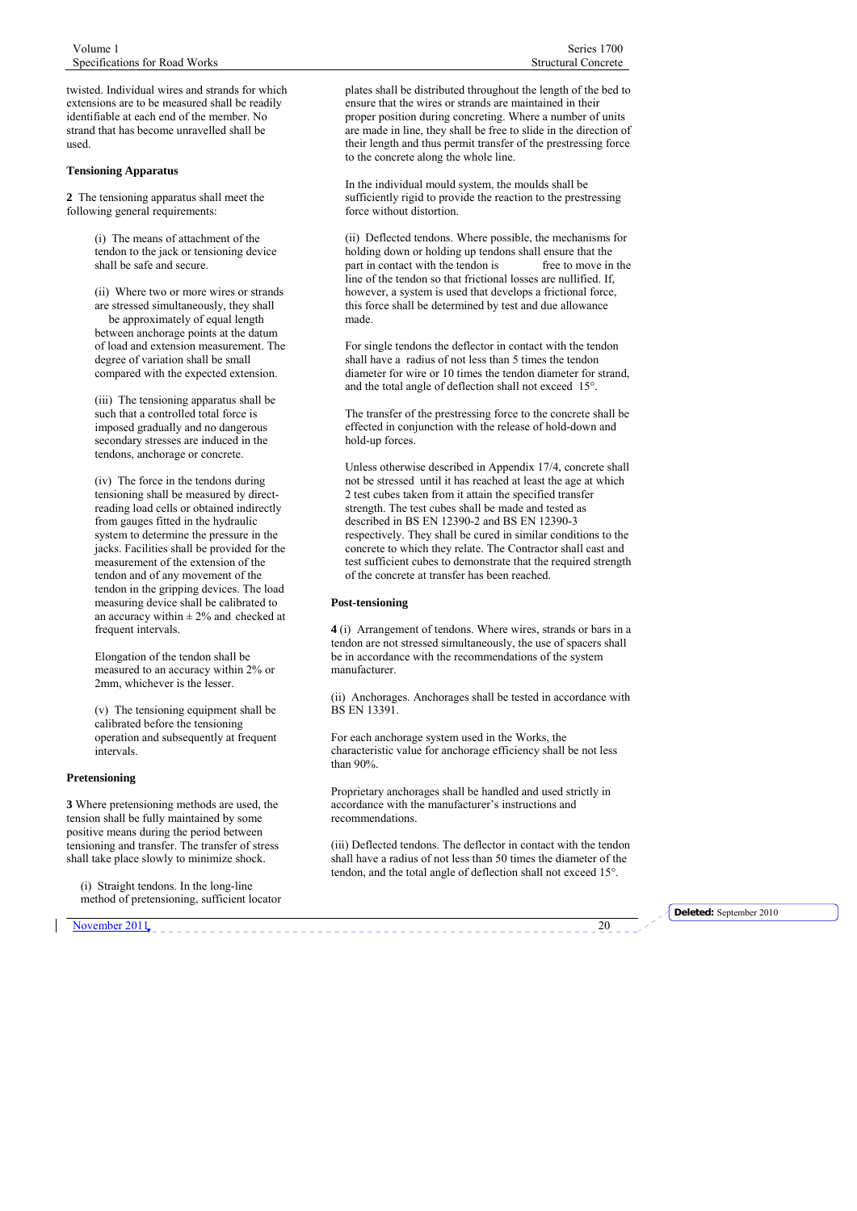twisted. Individual wires and strands for which extensions are to be measured shall be readily identifiable at each end of the member. No strand that has become unravelled shall be used.

#### **Tensioning Apparatus**

**2** The tensioning apparatus shall meet the following general requirements:

> (i) The means of attachment of the tendon to the jack or tensioning device shall be safe and secure.

(ii) Where two or more wires or strands are stressed simultaneously, they shall be approximately of equal length between anchorage points at the datum of load and extension measurement. The degree of variation shall be small compared with the expected extension.

(iii) The tensioning apparatus shall be such that a controlled total force is imposed gradually and no dangerous secondary stresses are induced in the tendons, anchorage or concrete.

(iv) The force in the tendons during tensioning shall be measured by directreading load cells or obtained indirectly from gauges fitted in the hydraulic system to determine the pressure in the jacks. Facilities shall be provided for the measurement of the extension of the tendon and of any movement of the tendon in the gripping devices. The load measuring device shall be calibrated to an accuracy within  $\pm$  2% and checked at frequent intervals.

Elongation of the tendon shall be measured to an accuracy within 2% or 2mm, whichever is the lesser.

(v) The tensioning equipment shall be calibrated before the tensioning operation and subsequently at frequent intervals.

#### **Pretensioning**

**3** Where pretensioning methods are used, the tension shall be fully maintained by some positive means during the period between tensioning and transfer. The transfer of stress shall take place slowly to minimize shock.

(i) Straight tendons. In the long-line method of pretensioning, sufficient locator plates shall be distributed throughout the length of the bed to ensure that the wires or strands are maintained in their proper position during concreting. Where a number of units are made in line, they shall be free to slide in the direction of their length and thus permit transfer of the prestressing force to the concrete along the whole line.

In the individual mould system, the moulds shall be sufficiently rigid to provide the reaction to the prestressing force without distortion.

(ii) Deflected tendons. Where possible, the mechanisms for holding down or holding up tendons shall ensure that the part in contact with the tendon is free to move in the line of the tendon so that frictional losses are nullified. If, however, a system is used that develops a frictional force, this force shall be determined by test and due allowance made.

For single tendons the deflector in contact with the tendon shall have a radius of not less than 5 times the tendon diameter for wire or 10 times the tendon diameter for strand, and the total angle of deflection shall not exceed 15°.

The transfer of the prestressing force to the concrete shall be effected in conjunction with the release of hold-down and hold-up forces.

Unless otherwise described in Appendix 17/4, concrete shall not be stressed until it has reached at least the age at which 2 test cubes taken from it attain the specified transfer strength. The test cubes shall be made and tested as described in BS EN 12390-2 and BS EN 12390-3 respectively. They shall be cured in similar conditions to the concrete to which they relate. The Contractor shall cast and test sufficient cubes to demonstrate that the required strength of the concrete at transfer has been reached.

#### **Post-tensioning**

**4** (i) Arrangement of tendons. Where wires, strands or bars in a tendon are not stressed simultaneously, the use of spacers shall be in accordance with the recommendations of the system manufacturer.

(ii) Anchorages. Anchorages shall be tested in accordance with BS EN 13391.

For each anchorage system used in the Works, the characteristic value for anchorage efficiency shall be not less than 90%.

Proprietary anchorages shall be handled and used strictly in accordance with the manufacturer's instructions and recommendations.

(iii) Deflected tendons. The deflector in contact with the tendon shall have a radius of not less than 50 times the diameter of the tendon, and the total angle of deflection shall not exceed 15°.